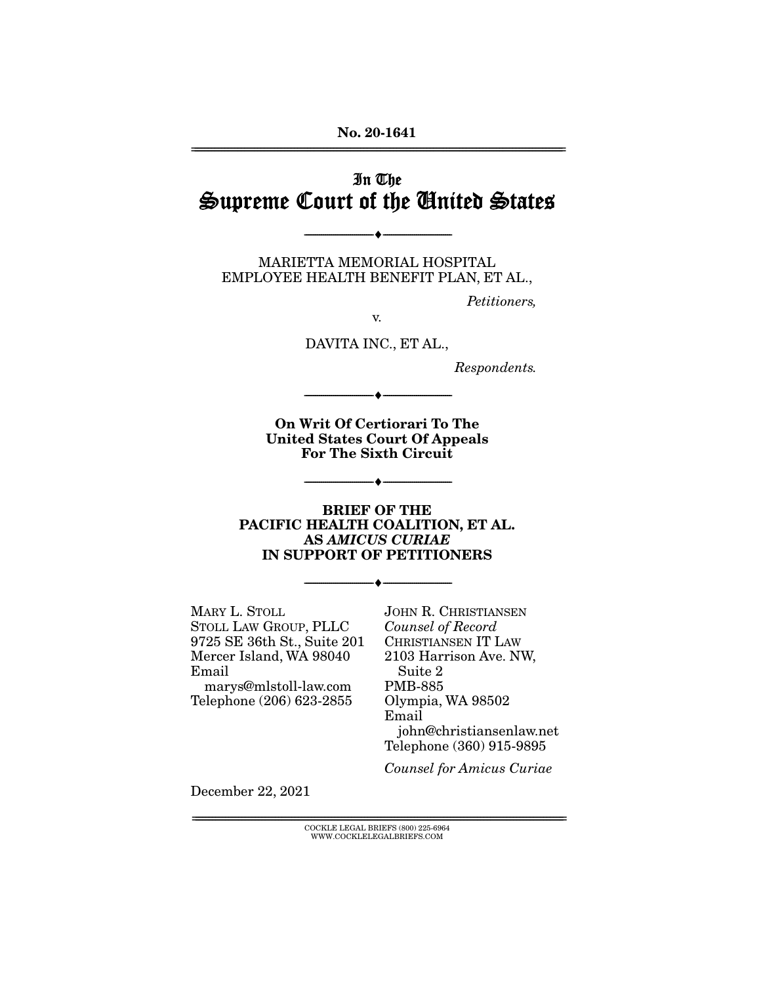**No. 20-1641**  ================================================================================================================

## In The Supreme Court of the United States

--------------------------------- ♦ ---------------------------------

MARIETTA MEMORIAL HOSPITAL EMPLOYEE HEALTH BENEFIT PLAN, ET AL.,

Petitioners,

v.

DAVITA INC., ET AL.,

Respondents.

**On Writ Of Certiorari To The United States Court Of Appeals For The Sixth Circuit** 

--------------------------------- ♦ ---------------------------------

--------------------------------- ♦ ---------------------------------

#### **BRIEF OF THE PACIFIC HEALTH COALITION, ET AL. AS** *AMICUS CURIAE* **IN SUPPORT OF PETITIONERS**

--------------------------------- ♦ ---------------------------------

MARY L. STOLL STOLL LAW GROUP, PLLC 9725 SE 36th St., Suite 201 Mercer Island, WA 98040 Email

marys@mlstoll-law.com Telephone (206) 623-2855 JOHN R. CHRISTIANSEN Counsel of Record CHRISTIANSEN IT LAW 2103 Harrison Ave. NW, Suite 2 PMB-885 Olympia, WA 98502 Email john@christiansenlaw.net Telephone (360) 915-9895

Counsel for Amicus Curiae

December 22, 2021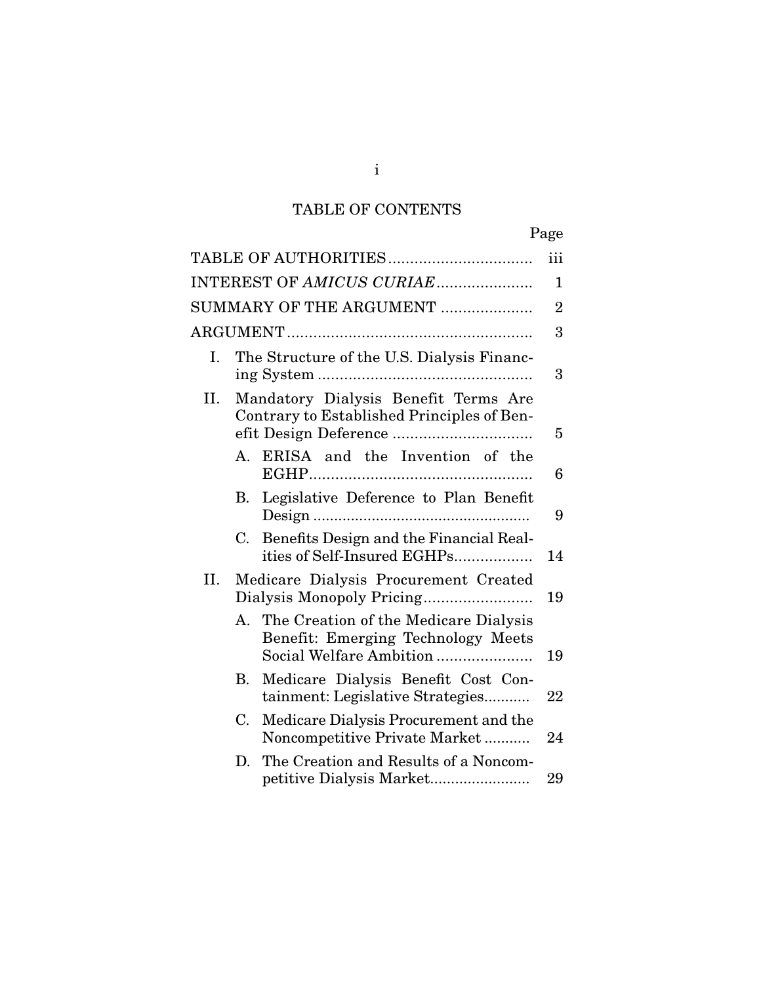# TABLE OF CONTENTS

|     |                           |                                                                                                        | Page           |  |  |
|-----|---------------------------|--------------------------------------------------------------------------------------------------------|----------------|--|--|
|     |                           |                                                                                                        | iii            |  |  |
|     | INTEREST OF AMICUS CURIAE |                                                                                                        |                |  |  |
|     |                           | SUMMARY OF THE ARGUMENT                                                                                | $\overline{2}$ |  |  |
|     |                           |                                                                                                        | 3              |  |  |
| Ι.  |                           | The Structure of the U.S. Dialysis Financ-                                                             | 3              |  |  |
| П.  |                           | Mandatory Dialysis Benefit Terms Are<br>Contrary to Established Principles of Ben-                     | 5              |  |  |
|     | A.                        | ERISA and the Invention of the                                                                         | 6              |  |  |
|     | В.                        | Legislative Deference to Plan Benefit                                                                  | 9              |  |  |
|     | C.                        | Benefits Design and the Financial Real-<br>ities of Self-Insured EGHPs                                 | 14             |  |  |
| II. |                           | Medicare Dialysis Procurement Created                                                                  | 19             |  |  |
|     | $\mathbf{A}_{\cdot}$      | The Creation of the Medicare Dialysis<br>Benefit: Emerging Technology Meets<br>Social Welfare Ambition | 19             |  |  |
|     | В.                        | Medicare Dialysis Benefit Cost Con-<br>tainment: Legislative Strategies                                | 22             |  |  |
|     | C.                        | Medicare Dialysis Procurement and the<br>Noncompetitive Private Market                                 | 24             |  |  |
|     | D.                        | The Creation and Results of a Noncom-                                                                  | 29             |  |  |

## i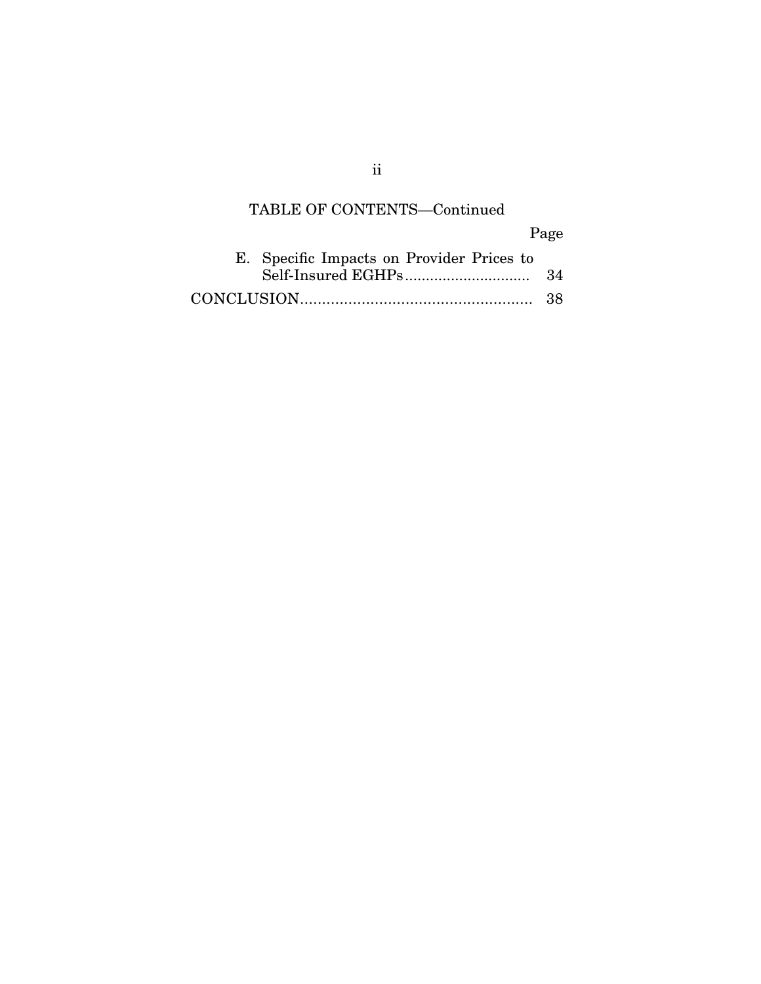# TABLE OF CONTENTS—Continued

Page

| E. Specific Impacts on Provider Prices to |  |
|-------------------------------------------|--|
|                                           |  |
|                                           |  |

ii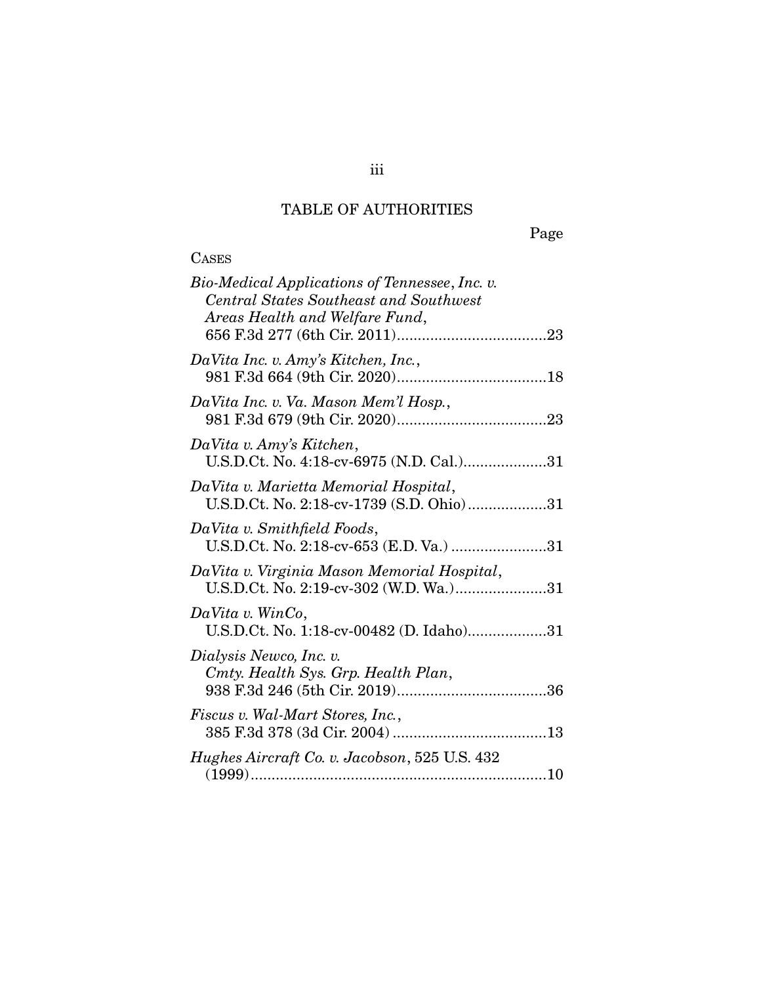## TABLE OF AUTHORITIES

Page

# **CASES**

| Bio-Medical Applications of Tennessee, Inc. v.<br><b>Central States Southeast and Southwest</b><br>Areas Health and Welfare Fund, |
|-----------------------------------------------------------------------------------------------------------------------------------|
| DaVita Inc. v. Amy's Kitchen, Inc.,                                                                                               |
| DaVita Inc. v. Va. Mason Mem'l Hosp.,                                                                                             |
| DaVita v. Amy's Kitchen,<br>U.S.D.Ct. No. 4:18-cv-6975 (N.D. Cal.)31                                                              |
| DaVita v. Marietta Memorial Hospital,<br>U.S.D.Ct. No. 2:18-cv-1739 (S.D. Ohio)31                                                 |
| DaVita v. Smithfield Foods,<br>U.S.D.Ct. No. 2:18-cv-653 (E.D. Va.) 31                                                            |
| DaVita v. Virginia Mason Memorial Hospital,<br>U.S.D.Ct. No. 2:19-cv-302 (W.D. Wa.)31                                             |
| $DaVita$ v. WinCo,<br>U.S.D.Ct. No. 1:18-cv-00482 (D. Idaho)31                                                                    |
| Dialysis Newco, Inc. v.<br>Cmty. Health Sys. Grp. Health Plan,                                                                    |
| Fiscus v. Wal-Mart Stores, Inc.,                                                                                                  |
| Hughes Aircraft Co. v. Jacobson, 525 U.S. 432                                                                                     |

iii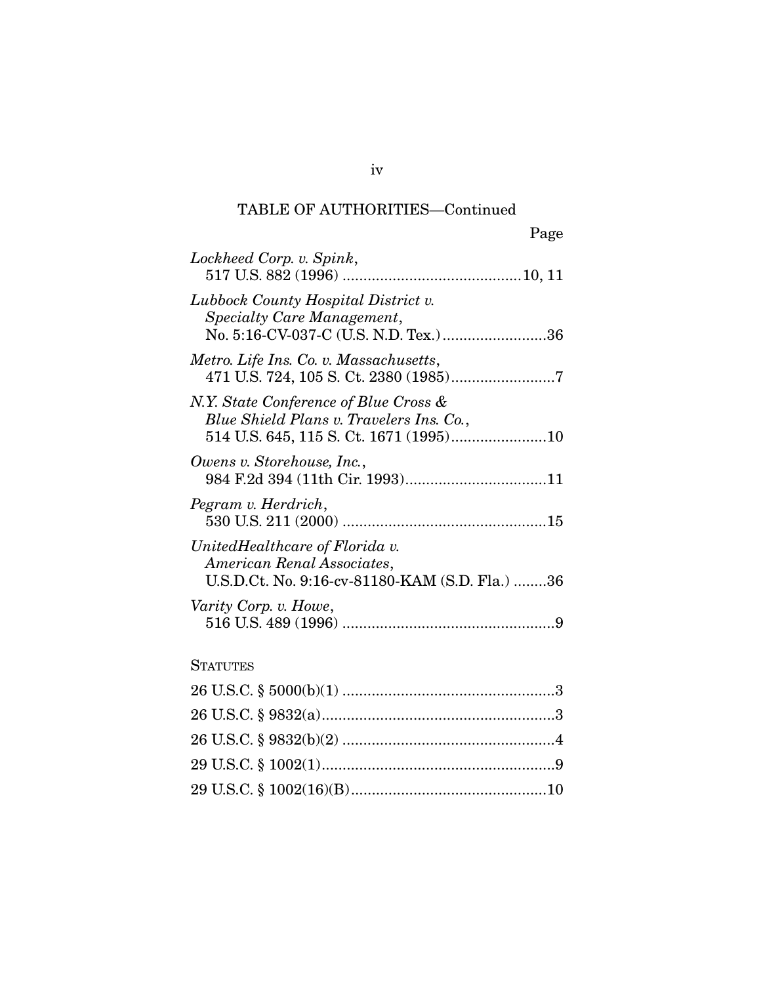| Page |
|------|

| Lockheed Corp. v. Spink,                                                                                       |
|----------------------------------------------------------------------------------------------------------------|
| Lubbock County Hospital District v.<br>Specialty Care Management,<br>No. 5:16-CV-037-C (U.S. N.D. Tex.)36      |
| Metro. Life Ins. Co. v. Massachusetts,                                                                         |
| N.Y. State Conference of Blue Cross &<br>Blue Shield Plans v. Travelers Ins. Co.,                              |
| Owens v. Storehouse, Inc.,                                                                                     |
| Pegram v. Herdrich,                                                                                            |
| UnitedHealthcare of Florida v.<br>American Renal Associates,<br>U.S.D.Ct. No. 9:16-cv-81180-KAM (S.D. Fla.) 36 |
| Varity Corp. v. Howe,                                                                                          |
| <b>STATUTES</b>                                                                                                |

iv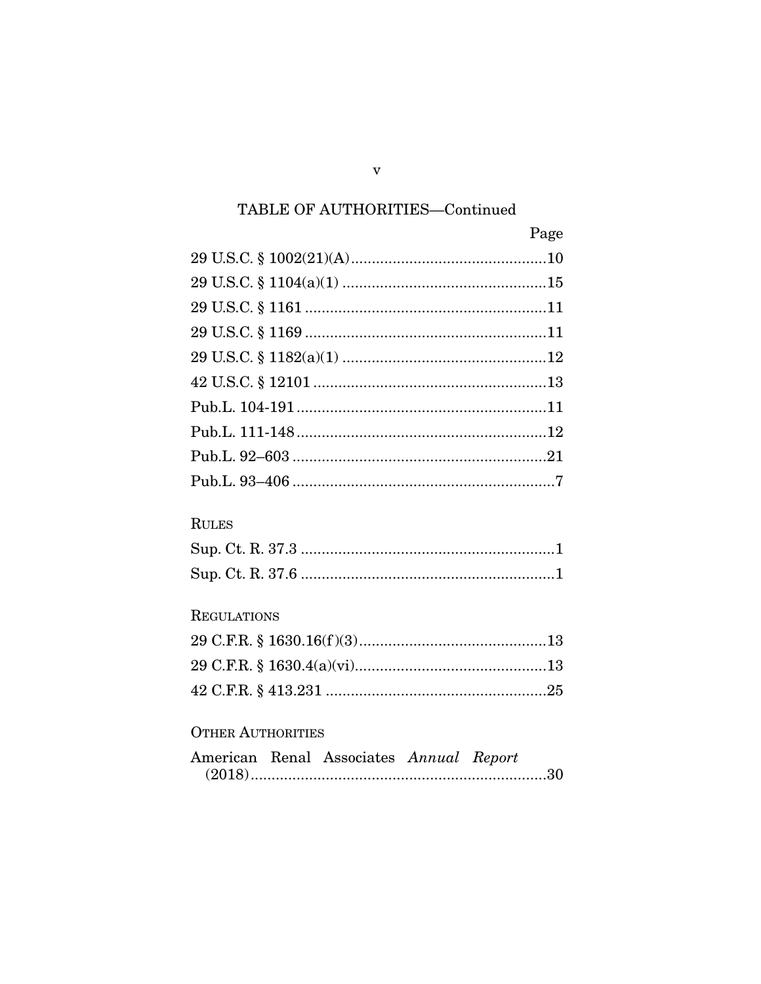| Page |
|------|
|      |
|      |
|      |
|      |
|      |
|      |
|      |
|      |
|      |
|      |

## **RULES**

### **REGULATIONS**

## OTHER AUTHORITIES

|  | American Renal Associates Annual Report |  |
|--|-----------------------------------------|--|
|  |                                         |  |

 $\mathbf{V}$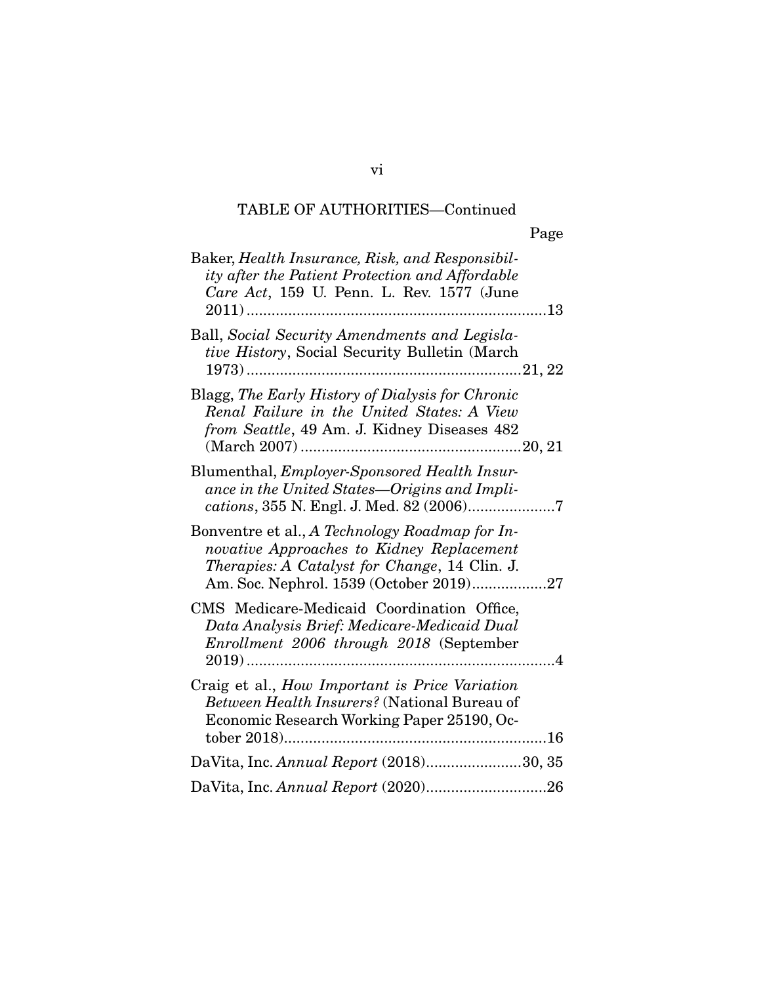|                                                                                                                                                                                                | Page |
|------------------------------------------------------------------------------------------------------------------------------------------------------------------------------------------------|------|
| Baker, Health Insurance, Risk, and Responsibil-<br>ity after the Patient Protection and Affordable<br>Care Act, 159 U. Penn. L. Rev. 1577 (June                                                |      |
| Ball, Social Security Amendments and Legisla-<br>tive History, Social Security Bulletin (March                                                                                                 |      |
| Blagg, The Early History of Dialysis for Chronic<br>Renal Failure in the United States: A View<br>from Seattle, 49 Am. J. Kidney Diseases 482                                                  |      |
| Blumenthal, <i>Employer-Sponsored Health Insur-</i><br>ance in the United States-Origins and Impli-<br>cations, 355 N. Engl. J. Med. 82 (2006)7                                                |      |
| Bonventre et al., A Technology Roadmap for In-<br>novative Approaches to Kidney Replacement<br><i>Therapies: A Catalyst for Change, 14 Clin. J.</i><br>Am. Soc. Nephrol. 1539 (October 2019)27 |      |
| CMS Medicare-Medicaid Coordination Office,<br>Data Analysis Brief: Medicare-Medicaid Dual<br>Enrollment 2006 through 2018 (September                                                           |      |
| Craig et al., How Important is Price Variation<br>Between Health Insurers? (National Bureau of<br>Economic Research Working Paper 25190, Oc-                                                   |      |
| DaVita, Inc. Annual Report (2018)30, 35                                                                                                                                                        |      |
|                                                                                                                                                                                                |      |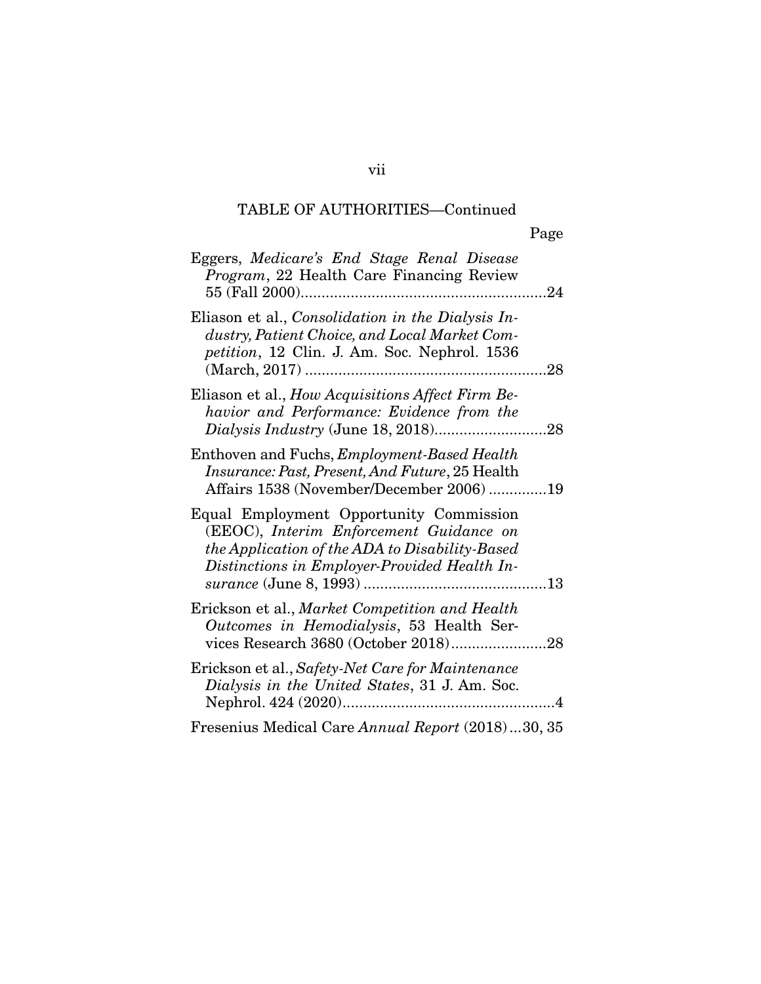| Eggers, Medicare's End Stage Renal Disease<br>Program, 22 Health Care Financing Review                                                                                               |
|--------------------------------------------------------------------------------------------------------------------------------------------------------------------------------------|
| Eliason et al., Consolidation in the Dialysis In-<br>dustry, Patient Choice, and Local Market Com-<br>petition, 12 Clin. J. Am. Soc. Nephrol. 1536<br>28                             |
| Eliason et al., How Acquisitions Affect Firm Be-<br>havior and Performance: Evidence from the                                                                                        |
| Enthoven and Fuchs, <i>Employment-Based Health</i><br><i>Insurance: Past, Present, And Future, 25 Health</i><br>Affairs 1538 (November/December 2006)19                              |
| Equal Employment Opportunity Commission<br>(EEOC), Interim Enforcement Guidance on<br>the Application of the ADA to Disability-Based<br>Distinctions in Employer-Provided Health In- |
| Erickson et al., Market Competition and Health<br>Outcomes in Hemodialysis, 53 Health Ser-                                                                                           |
| Erickson et al., Safety-Net Care for Maintenance<br>Dialysis in the United States, 31 J. Am. Soc.<br>$\overline{\mathcal{A}}$                                                        |
| Fresenius Medical Care Annual Report (2018)30, 35                                                                                                                                    |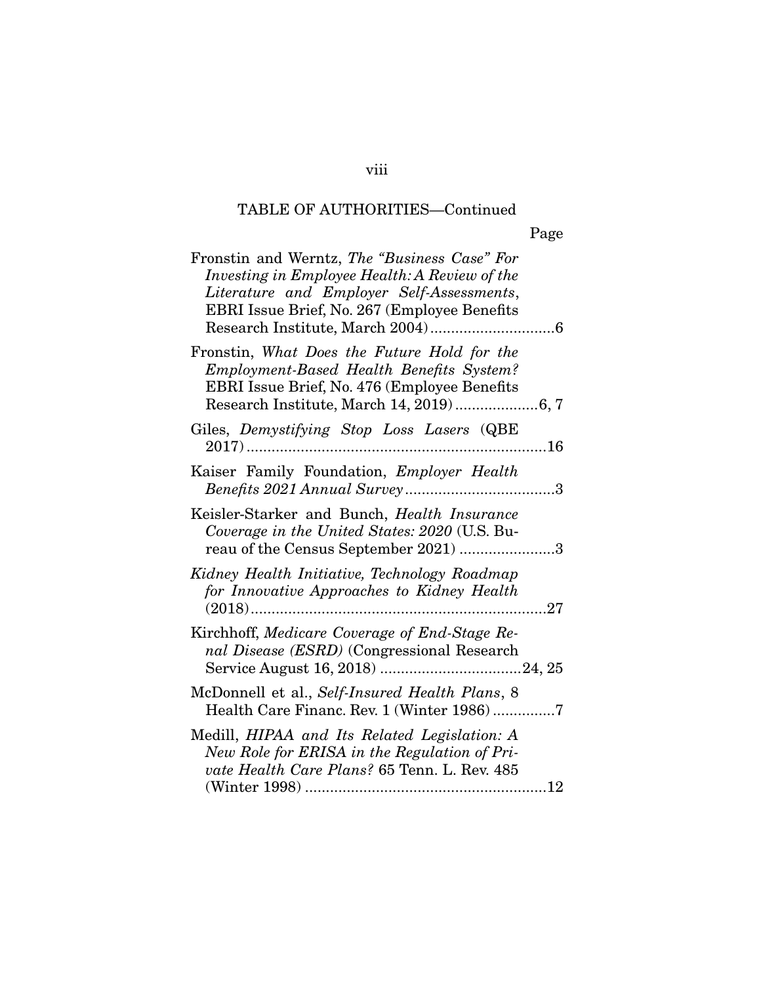| Fronstin and Werntz, The "Business Case" For<br>Investing in Employee Health: A Review of the<br>Literature and Employer Self-Assessments,<br>EBRI Issue Brief, No. 267 (Employee Benefits |
|--------------------------------------------------------------------------------------------------------------------------------------------------------------------------------------------|
| Fronstin, What Does the Future Hold for the<br>Employment-Based Health Benefits System?<br>EBRI Issue Brief, No. 476 (Employee Benefits)                                                   |
| Giles, Demystifying Stop Loss Lasers (QBE                                                                                                                                                  |
| Kaiser Family Foundation, Employer Health                                                                                                                                                  |
| Keisler-Starker and Bunch, Health Insurance<br>Coverage in the United States: 2020 (U.S. Bu-<br>reau of the Census September 2021) 3                                                       |
| Kidney Health Initiative, Technology Roadmap<br>for Innovative Approaches to Kidney Health                                                                                                 |
| Kirchhoff, Medicare Coverage of End-Stage Re-<br>nal Disease (ESRD) (Congressional Research                                                                                                |
| McDonnell et al., Self-Insured Health Plans, 8<br>Health Care Financ. Rev. 1 (Winter 1986)7                                                                                                |
| Medill, HIPAA and Its Related Legislation: A<br>New Role for ERISA in the Regulation of Pri-<br>vate Health Care Plans? 65 Tenn. L. Rev. 485                                               |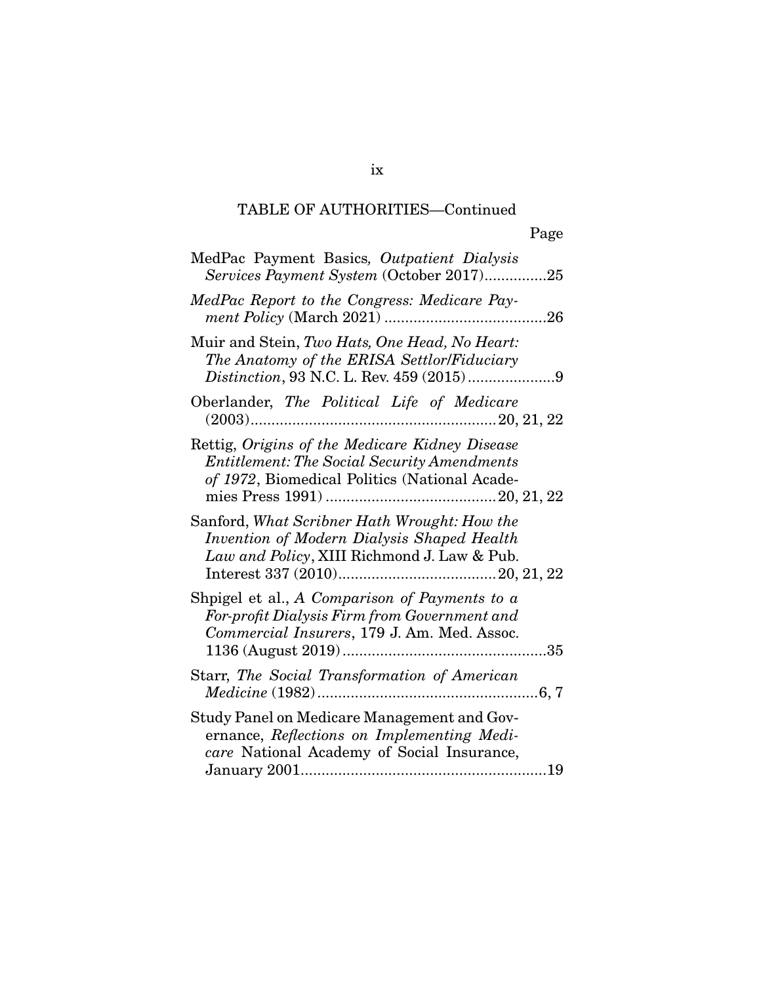| MedPac Payment Basics, Outpatient Dialysis<br>Services Payment System (October 2017)25                                                                |
|-------------------------------------------------------------------------------------------------------------------------------------------------------|
| MedPac Report to the Congress: Medicare Pay-                                                                                                          |
| Muir and Stein, Two Hats, One Head, No Heart:<br>The Anatomy of the ERISA Settlor/Fiduciary                                                           |
| Oberlander, The Political Life of Medicare                                                                                                            |
| Rettig, Origins of the Medicare Kidney Disease<br><b>Entitlement: The Social Security Amendments</b><br>of 1972, Biomedical Politics (National Acade- |
| Sanford, What Scribner Hath Wrought: How the<br>Invention of Modern Dialysis Shaped Health<br>Law and Policy, XIII Richmond J. Law & Pub.             |
| Shpigel et al., A Comparison of Payments to a<br>For-profit Dialysis Firm from Government and<br>Commercial Insurers, 179 J. Am. Med. Assoc.<br>.35   |
| Starr, The Social Transformation of American                                                                                                          |
| Study Panel on Medicare Management and Gov-<br>ernance, Reflections on Implementing Medi-<br>care National Academy of Social Insurance,               |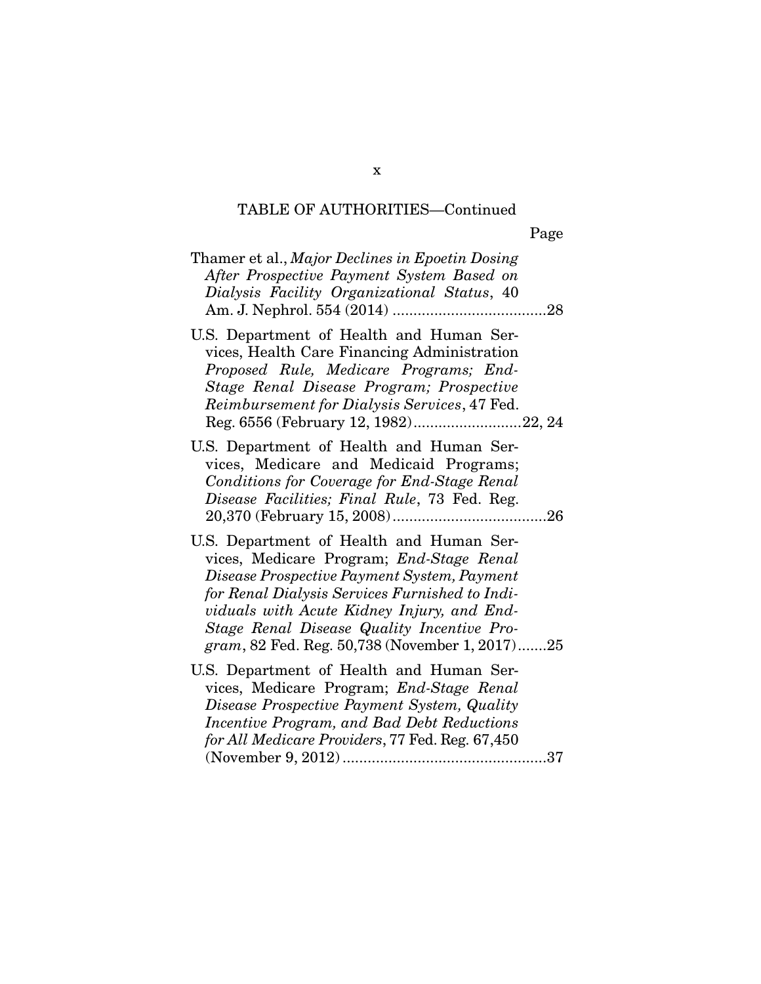| Thamer et al., Major Declines in Epoetin Dosing<br>After Prospective Payment System Based on<br>Dialysis Facility Organizational Status, 40                                                                                                                                                                                         | 28  |
|-------------------------------------------------------------------------------------------------------------------------------------------------------------------------------------------------------------------------------------------------------------------------------------------------------------------------------------|-----|
| U.S. Department of Health and Human Ser-<br>vices, Health Care Financing Administration<br>Proposed Rule, Medicare Programs; End-<br>Stage Renal Disease Program; Prospective<br>Reimbursement for Dialysis Services, 47 Fed.<br>Reg. 6556 (February 12, 1982)22, 24                                                                |     |
| U.S. Department of Health and Human Ser-<br>vices, Medicare and Medicaid Programs;<br>Conditions for Coverage for End-Stage Renal<br>Disease Facilities; Final Rule, 73 Fed. Reg.                                                                                                                                                   | .26 |
| U.S. Department of Health and Human Ser-<br>vices, Medicare Program; End-Stage Renal<br>Disease Prospective Payment System, Payment<br>for Renal Dialysis Services Furnished to Indi-<br>viduals with Acute Kidney Injury, and End-<br>Stage Renal Disease Quality Incentive Pro-<br>gram, 82 Fed. Reg. 50,738 (November 1, 2017)25 |     |
| U.S. Department of Health and Human Ser-<br>vices, Medicare Program; <i>End-Stage Renal</i><br>Disease Prospective Payment System, Quality<br>Incentive Program, and Bad Debt Reductions<br>for All Medicare Providers, 77 Fed. Reg. 67,450                                                                                         |     |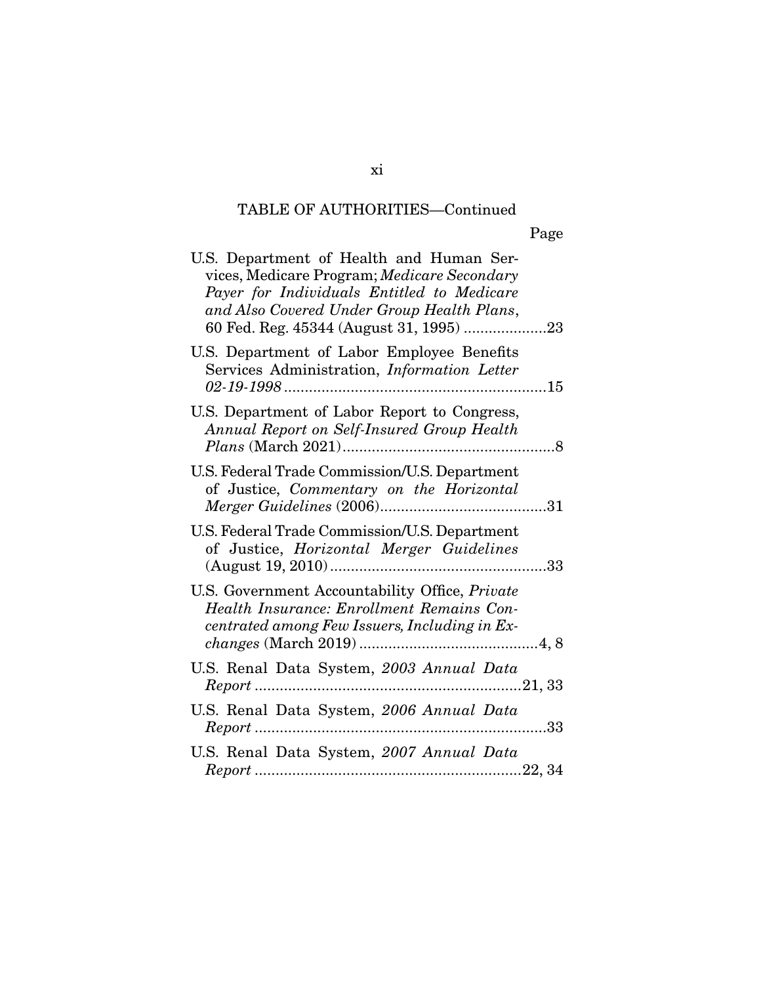| U.S. Department of Health and Human Ser-<br>vices, Medicare Program; Medicare Secondary<br>Payer for Individuals Entitled to Medicare<br>and Also Covered Under Group Health Plans, |
|-------------------------------------------------------------------------------------------------------------------------------------------------------------------------------------|
| U.S. Department of Labor Employee Benefits<br>Services Administration, Information Letter                                                                                           |
| U.S. Department of Labor Report to Congress,<br>Annual Report on Self-Insured Group Health                                                                                          |
| U.S. Federal Trade Commission/U.S. Department<br>of Justice, Commentary on the Horizontal                                                                                           |
| U.S. Federal Trade Commission/U.S. Department<br>of Justice, Horizontal Merger Guidelines                                                                                           |
| U.S. Government Accountability Office, Private<br>Health Insurance: Enrollment Remains Con-<br>centrated among Few Issuers, Including in Ex-                                        |
| U.S. Renal Data System, 2003 Annual Data                                                                                                                                            |
| U.S. Renal Data System, 2006 Annual Data                                                                                                                                            |
| U.S. Renal Data System, 2007 Annual Data                                                                                                                                            |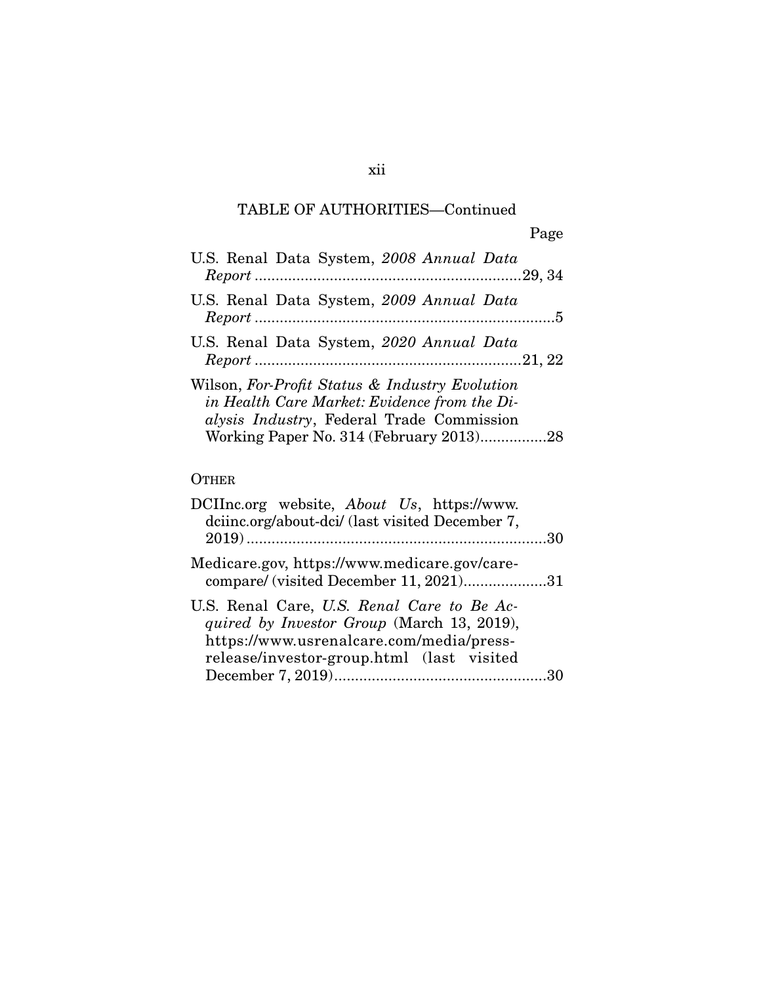| U.S. Renal Data System, 2008 Annual Data                                                                                                    |
|---------------------------------------------------------------------------------------------------------------------------------------------|
| U.S. Renal Data System, 2009 Annual Data                                                                                                    |
| U.S. Renal Data System, 2020 Annual Data                                                                                                    |
| Wilson, For-Profit Status & Industry Evolution<br>in Health Care Market: Evidence from the Di-<br>alysis Industry, Federal Trade Commission |

### **OTHER**

| DCIInc.org website, <i>About Us</i> , https://www.<br>dciinc.org/about-dci/ (last visited December 7,                                                                             |  |
|-----------------------------------------------------------------------------------------------------------------------------------------------------------------------------------|--|
| Medicare.gov, https://www.medicare.gov/care-<br>compare/ (visited December 11, 2021)31                                                                                            |  |
| U.S. Renal Care, U.S. Renal Care to Be Ac-<br>quired by Investor Group (March 13, 2019),<br>https://www.usrenalcare.com/media/press-<br>release/investor-group.html (last visited |  |
|                                                                                                                                                                                   |  |

### xii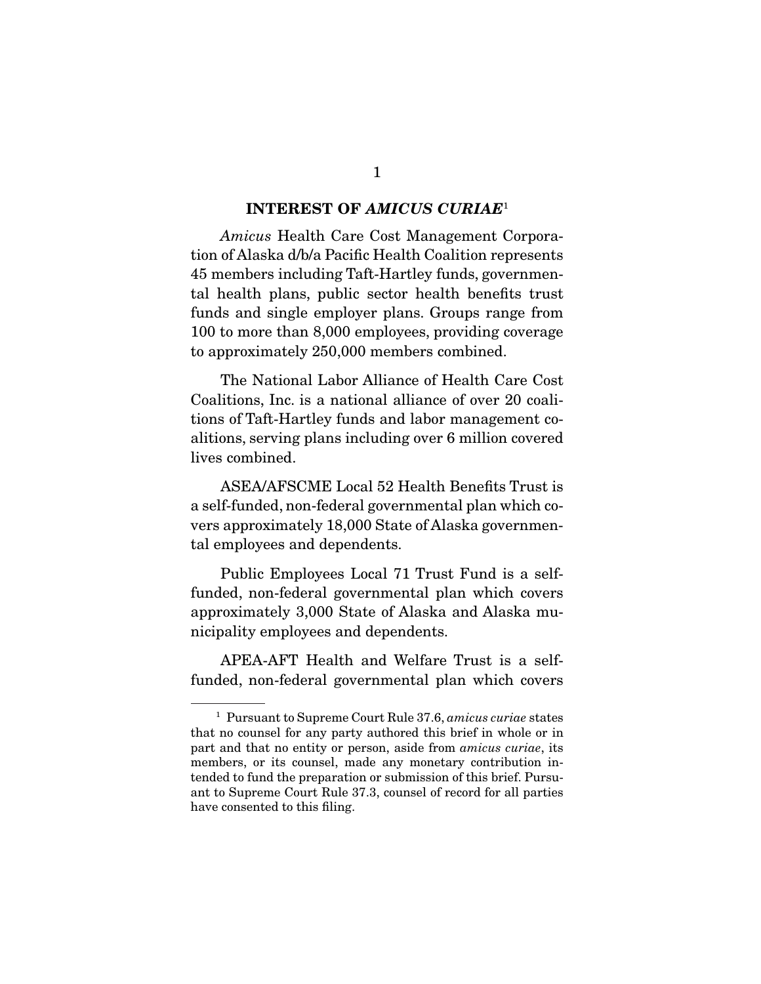#### **INTEREST OF** *AMICUS CURIAE*<sup>1</sup>

Amicus Health Care Cost Management Corporation of Alaska d/b/a Pacific Health Coalition represents 45 members including Taft-Hartley funds, governmental health plans, public sector health benefits trust funds and single employer plans. Groups range from 100 to more than 8,000 employees, providing coverage to approximately 250,000 members combined.

 The National Labor Alliance of Health Care Cost Coalitions, Inc. is a national alliance of over 20 coalitions of Taft-Hartley funds and labor management coalitions, serving plans including over 6 million covered lives combined.

 ASEA/AFSCME Local 52 Health Benefits Trust is a self-funded, non-federal governmental plan which covers approximately 18,000 State of Alaska governmental employees and dependents.

 Public Employees Local 71 Trust Fund is a selffunded, non-federal governmental plan which covers approximately 3,000 State of Alaska and Alaska municipality employees and dependents.

 APEA-AFT Health and Welfare Trust is a selffunded, non-federal governmental plan which covers

<sup>&</sup>lt;sup>1</sup> Pursuant to Supreme Court Rule 37.6, amicus curiae states that no counsel for any party authored this brief in whole or in part and that no entity or person, aside from amicus curiae, its members, or its counsel, made any monetary contribution intended to fund the preparation or submission of this brief. Pursuant to Supreme Court Rule 37.3, counsel of record for all parties have consented to this filing.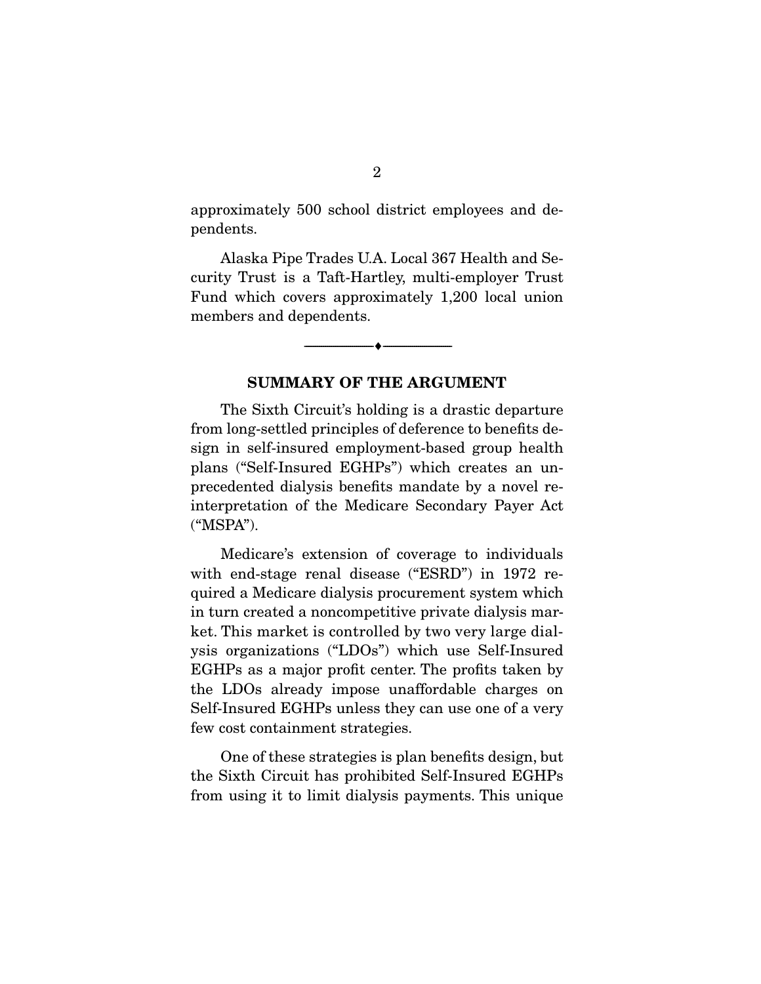approximately 500 school district employees and dependents.

 Alaska Pipe Trades U.A. Local 367 Health and Security Trust is a Taft-Hartley, multi-employer Trust Fund which covers approximately 1,200 local union members and dependents.

#### **SUMMARY OF THE ARGUMENT**

 $\overbrace{\hspace{2.5cm}}^{\bullet}$   $\overbrace{\hspace{2.5cm}}^{\bullet}$ 

 The Sixth Circuit's holding is a drastic departure from long-settled principles of deference to benefits design in self-insured employment-based group health plans ("Self-Insured EGHPs") which creates an unprecedented dialysis benefits mandate by a novel reinterpretation of the Medicare Secondary Payer Act ("MSPA").

 Medicare's extension of coverage to individuals with end-stage renal disease ("ESRD") in 1972 required a Medicare dialysis procurement system which in turn created a noncompetitive private dialysis market. This market is controlled by two very large dialysis organizations ("LDOs") which use Self-Insured EGHPs as a major profit center. The profits taken by the LDOs already impose unaffordable charges on Self-Insured EGHPs unless they can use one of a very few cost containment strategies.

 One of these strategies is plan benefits design, but the Sixth Circuit has prohibited Self-Insured EGHPs from using it to limit dialysis payments. This unique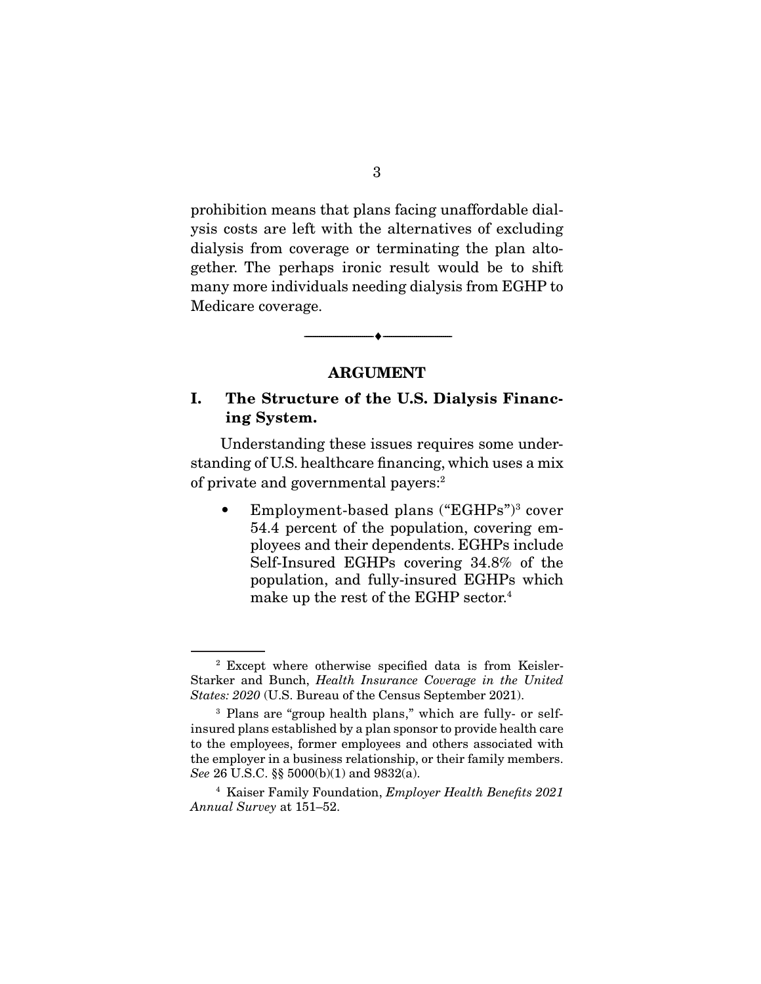prohibition means that plans facing unaffordable dialysis costs are left with the alternatives of excluding dialysis from coverage or terminating the plan altogether. The perhaps ironic result would be to shift many more individuals needing dialysis from EGHP to Medicare coverage.

#### **ARGUMENT**

--------------------------------- ♦ ---------------------------------

#### **I. The Structure of the U.S. Dialysis Financing System.**

 Understanding these issues requires some understanding of U.S. healthcare financing, which uses a mix of private and governmental payers:2

• Employment-based plans ("EGHPs")<sup>3</sup> cover 54.4 percent of the population, covering employees and their dependents. EGHPs include Self-Insured EGHPs covering 34.8% of the population, and fully-insured EGHPs which make up the rest of the EGHP sector.<sup>4</sup>

<sup>2</sup> Except where otherwise specified data is from Keisler-Starker and Bunch, Health Insurance Coverage in the United States: 2020 (U.S. Bureau of the Census September 2021).

<sup>3</sup> Plans are "group health plans," which are fully- or selfinsured plans established by a plan sponsor to provide health care to the employees, former employees and others associated with the employer in a business relationship, or their family members. See 26 U.S.C. §§ 5000(b)(1) and 9832(a).

<sup>&</sup>lt;sup>4</sup> Kaiser Family Foundation, *Employer Health Benefits 2021* Annual Survey at 151–52.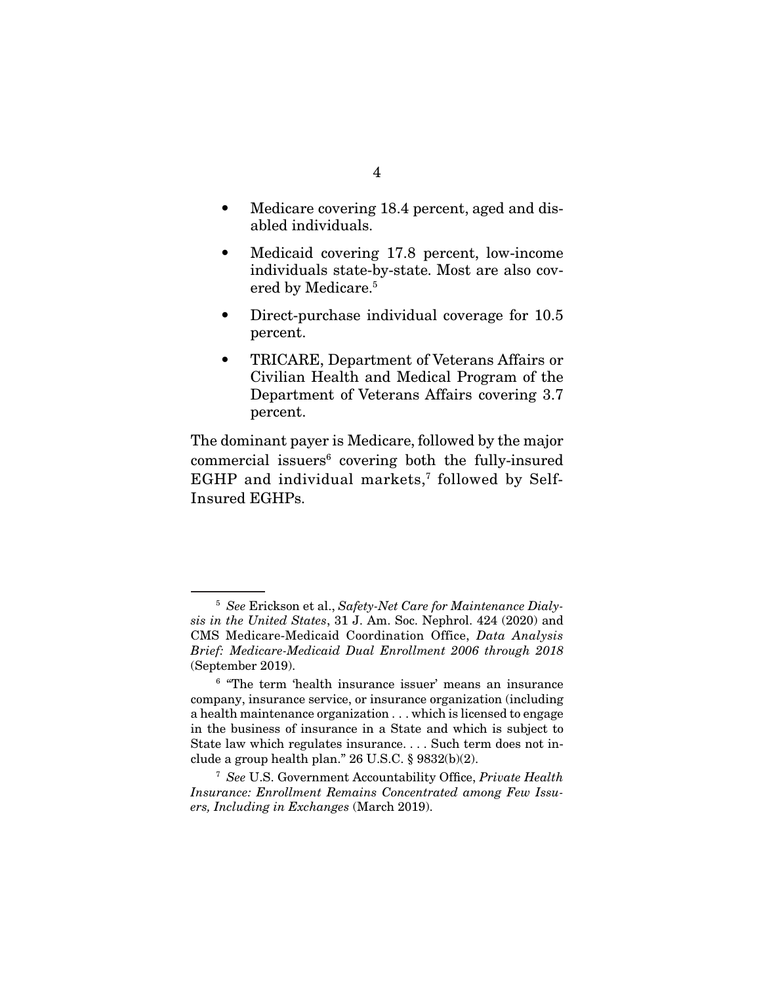- Medicare covering 18.4 percent, aged and disabled individuals.
- Medicaid covering 17.8 percent, low-income individuals state-by-state. Most are also covered by Medicare.<sup>5</sup>
- Direct-purchase individual coverage for 10.5 percent.
- TRICARE, Department of Veterans Affairs or Civilian Health and Medical Program of the Department of Veterans Affairs covering 3.7 percent.

The dominant payer is Medicare, followed by the major commercial issuers<sup>6</sup> covering both the fully-insured EGHP and individual markets.<sup>7</sup> followed by Self-Insured EGHPs.

 $5$  See Erickson et al., Safety-Net Care for Maintenance Dialysis in the United States, 31 J. Am. Soc. Nephrol. 424 (2020) and CMS Medicare-Medicaid Coordination Office, Data Analysis Brief: Medicare-Medicaid Dual Enrollment 2006 through 2018 (September 2019).

<sup>6</sup> "The term 'health insurance issuer' means an insurance company, insurance service, or insurance organization (including a health maintenance organization . . . which is licensed to engage in the business of insurance in a State and which is subject to State law which regulates insurance. . . . Such term does not include a group health plan." 26 U.S.C. § 9832(b)(2).

<sup>7</sup> See U.S. Government Accountability Office, Private Health Insurance: Enrollment Remains Concentrated among Few Issuers, Including in Exchanges (March 2019).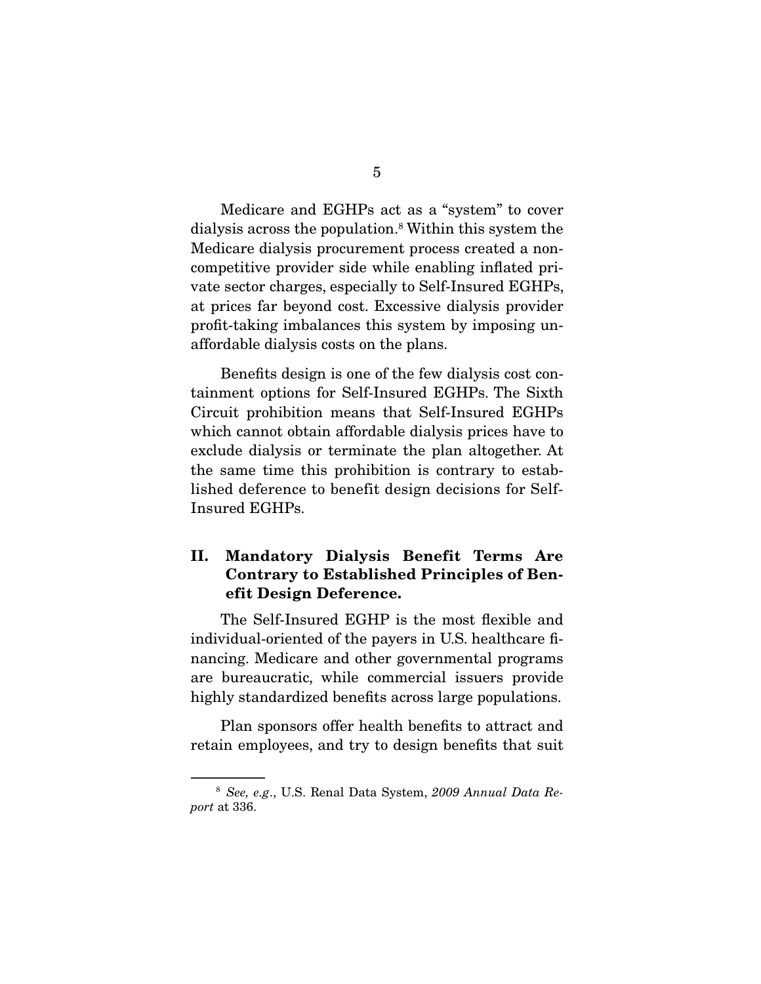Medicare and EGHPs act as a "system" to cover dialysis across the population.8 Within this system the Medicare dialysis procurement process created a noncompetitive provider side while enabling inflated private sector charges, especially to Self-Insured EGHPs, at prices far beyond cost. Excessive dialysis provider profit-taking imbalances this system by imposing unaffordable dialysis costs on the plans.

 Benefits design is one of the few dialysis cost containment options for Self-Insured EGHPs. The Sixth Circuit prohibition means that Self-Insured EGHPs which cannot obtain affordable dialysis prices have to exclude dialysis or terminate the plan altogether. At the same time this prohibition is contrary to established deference to benefit design decisions for Self-Insured EGHPs.

### **II. Mandatory Dialysis Benefit Terms Are Contrary to Established Principles of Benefit Design Deference.**

 The Self-Insured EGHP is the most flexible and individual-oriented of the payers in U.S. healthcare financing. Medicare and other governmental programs are bureaucratic, while commercial issuers provide highly standardized benefits across large populations.

 Plan sponsors offer health benefits to attract and retain employees, and try to design benefits that suit

<sup>8</sup> See, e.g., U.S. Renal Data System, 2009 Annual Data Report at 336.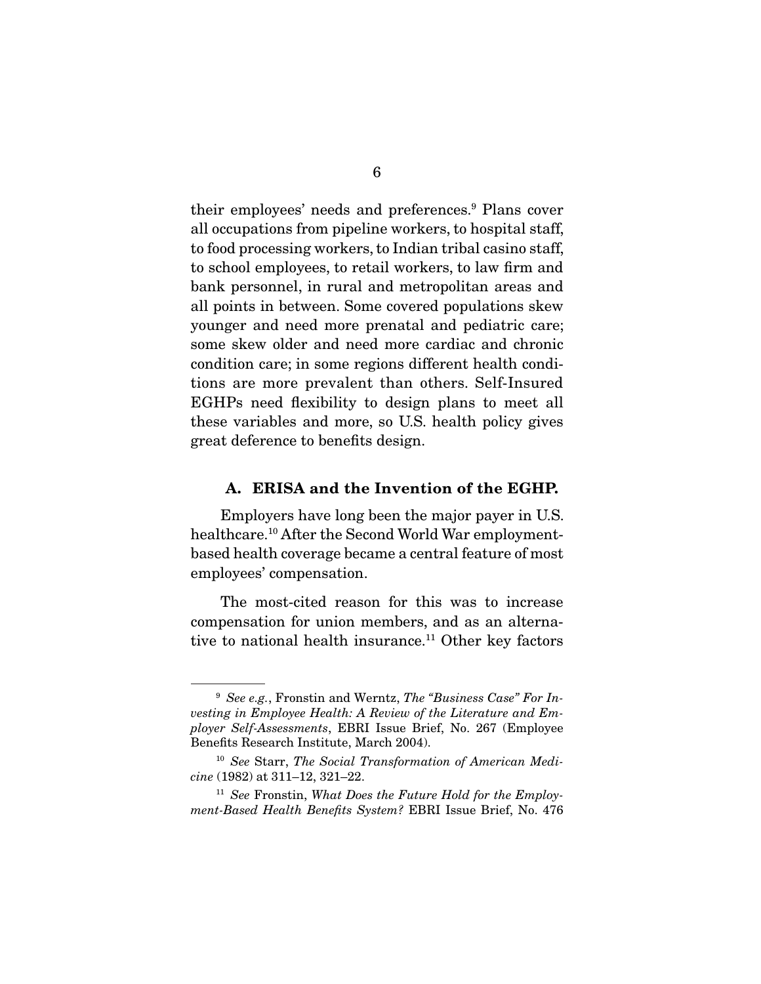their employees' needs and preferences.<sup>9</sup> Plans cover all occupations from pipeline workers, to hospital staff, to food processing workers, to Indian tribal casino staff, to school employees, to retail workers, to law firm and bank personnel, in rural and metropolitan areas and all points in between. Some covered populations skew younger and need more prenatal and pediatric care; some skew older and need more cardiac and chronic condition care; in some regions different health conditions are more prevalent than others. Self-Insured EGHPs need flexibility to design plans to meet all these variables and more, so U.S. health policy gives great deference to benefits design.

#### **A. ERISA and the Invention of the EGHP.**

 Employers have long been the major payer in U.S. healthcare.10 After the Second World War employmentbased health coverage became a central feature of most employees' compensation.

 The most-cited reason for this was to increase compensation for union members, and as an alternative to national health insurance.<sup>11</sup> Other key factors

 $9$  See e.g., Fronstin and Werntz, The "Business Case" For Investing in Employee Health: A Review of the Literature and Employer Self-Assessments, EBRI Issue Brief, No. 267 (Employee Benefits Research Institute, March 2004).

<sup>&</sup>lt;sup>10</sup> See Starr, The Social Transformation of American Medicine (1982) at 311–12, 321–22.

 $11$  See Fronstin, What Does the Future Hold for the Employment-Based Health Benefits System? EBRI Issue Brief, No. 476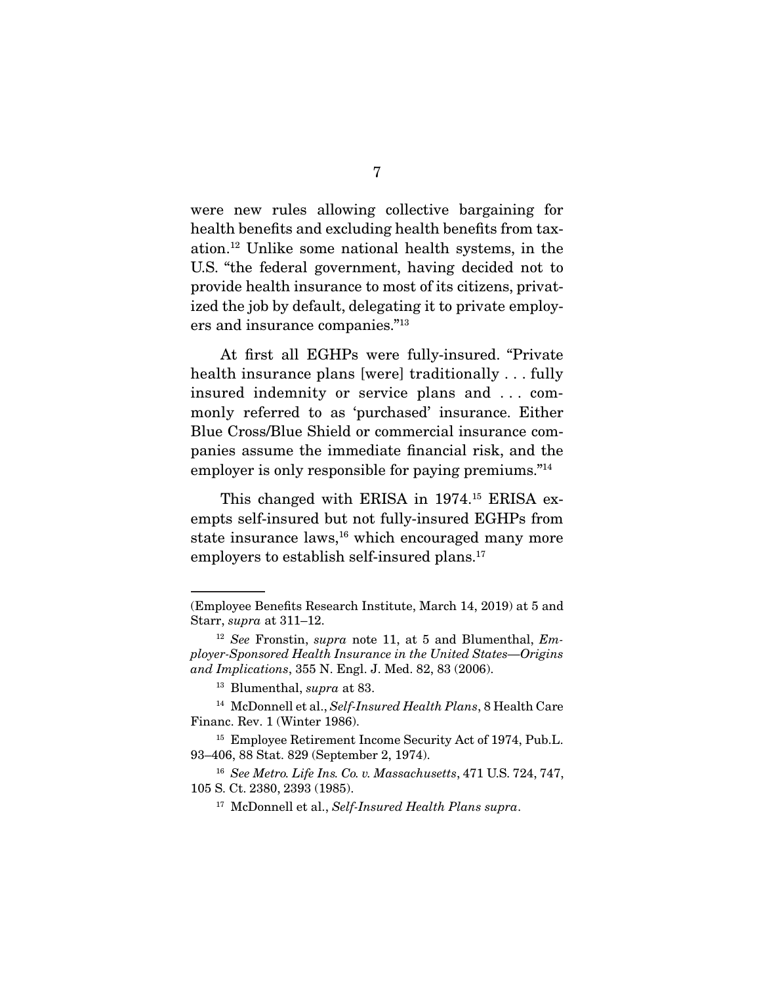were new rules allowing collective bargaining for health benefits and excluding health benefits from taxation.12 Unlike some national health systems, in the U.S. "the federal government, having decided not to provide health insurance to most of its citizens, privatized the job by default, delegating it to private employers and insurance companies."13

 At first all EGHPs were fully-insured. "Private health insurance plans [were] traditionally . . . fully insured indemnity or service plans and . . . commonly referred to as 'purchased' insurance. Either Blue Cross/Blue Shield or commercial insurance companies assume the immediate financial risk, and the employer is only responsible for paying premiums."14

 This changed with ERISA in 1974.15 ERISA exempts self-insured but not fully-insured EGHPs from state insurance laws,<sup>16</sup> which encouraged many more employers to establish self-insured plans.<sup>17</sup>

<sup>(</sup>Employee Benefits Research Institute, March 14, 2019) at 5 and Starr, supra at 311–12.

 $12$  See Fronstin, supra note 11, at 5 and Blumenthal, Employer-Sponsored Health Insurance in the United States—Origins and Implications, 355 N. Engl. J. Med. 82, 83 (2006).

<sup>13</sup> Blumenthal, supra at 83.

<sup>&</sup>lt;sup>14</sup> McDonnell et al., Self-Insured Health Plans, 8 Health Care Financ. Rev. 1 (Winter 1986).

<sup>15</sup> Employee Retirement Income Security Act of 1974, Pub.L. 93–406, 88 Stat. 829 (September 2, 1974).

<sup>&</sup>lt;sup>16</sup> See Metro. Life Ins. Co. v. Massachusetts, 471 U.S. 724, 747, 105 S. Ct. 2380, 2393 (1985).

<sup>&</sup>lt;sup>17</sup> McDonnell et al., Self-Insured Health Plans supra.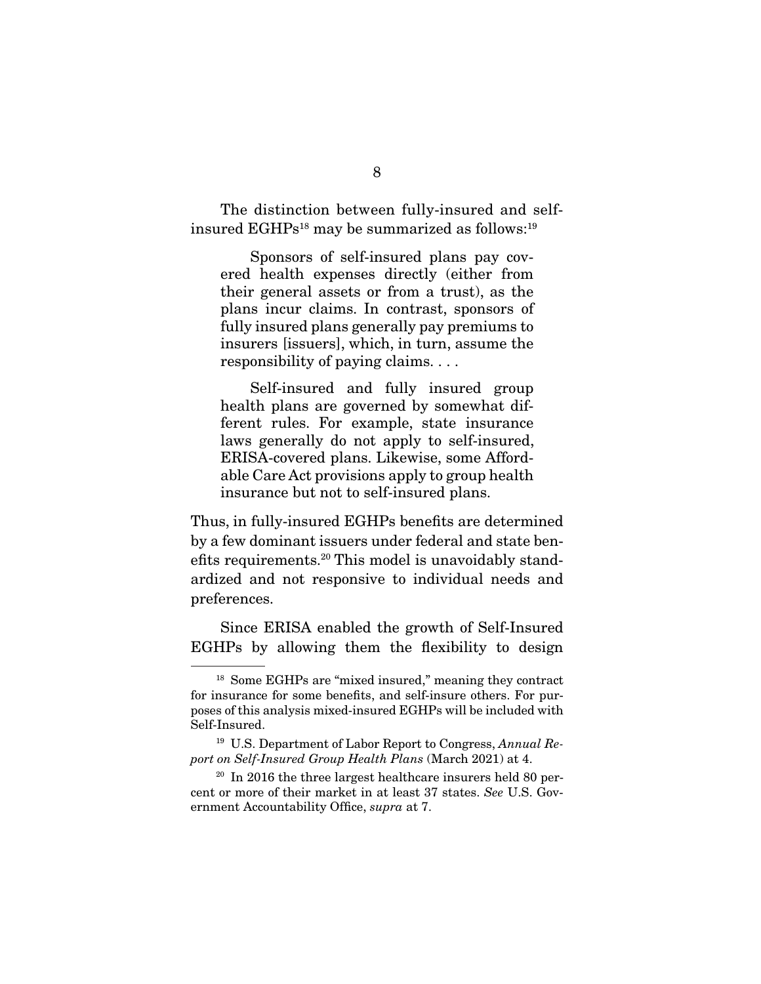The distinction between fully-insured and selfinsured  $EGHPs^{18}$  may be summarized as follows:<sup>19</sup>

 Sponsors of self-insured plans pay covered health expenses directly (either from their general assets or from a trust), as the plans incur claims. In contrast, sponsors of fully insured plans generally pay premiums to insurers [issuers], which, in turn, assume the responsibility of paying claims. . . .

 Self-insured and fully insured group health plans are governed by somewhat different rules. For example, state insurance laws generally do not apply to self-insured, ERISA-covered plans. Likewise, some Affordable Care Act provisions apply to group health insurance but not to self-insured plans.

Thus, in fully-insured EGHPs benefits are determined by a few dominant issuers under federal and state benefits requirements.20 This model is unavoidably standardized and not responsive to individual needs and preferences.

 Since ERISA enabled the growth of Self-Insured EGHPs by allowing them the flexibility to design

<sup>18</sup> Some EGHPs are "mixed insured," meaning they contract for insurance for some benefits, and self-insure others. For purposes of this analysis mixed-insured EGHPs will be included with Self-Insured.

<sup>&</sup>lt;sup>19</sup> U.S. Department of Labor Report to Congress, Annual Report on Self-Insured Group Health Plans (March 2021) at 4.

 $20$  In 2016 the three largest healthcare insurers held 80 percent or more of their market in at least 37 states. See U.S. Government Accountability Office, supra at 7.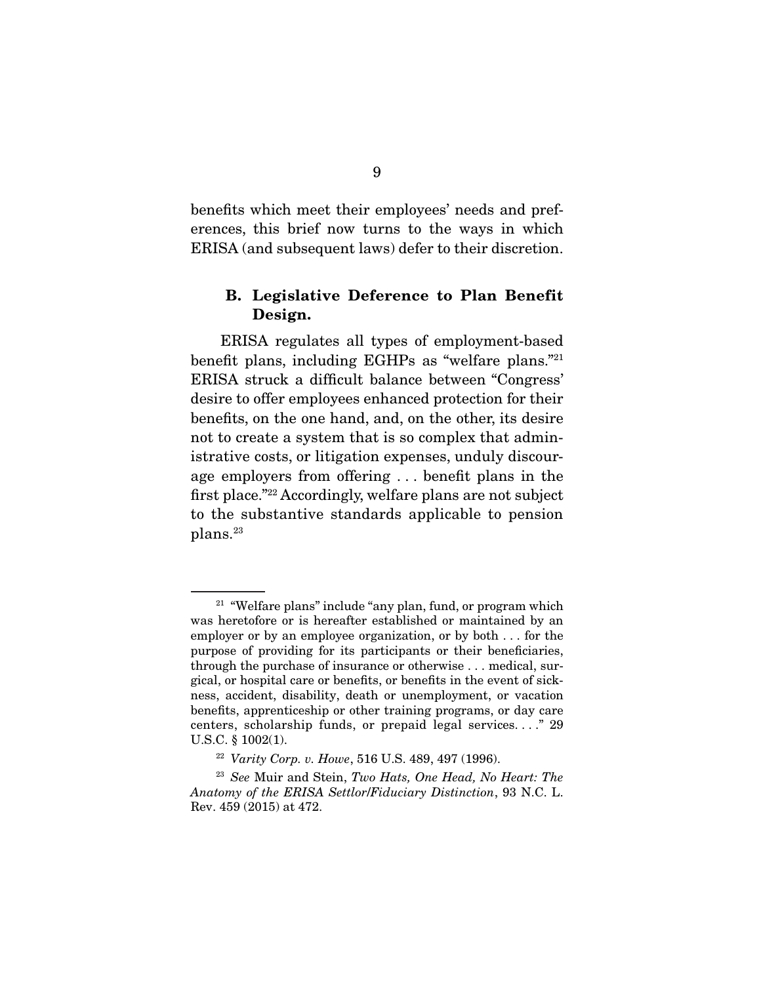benefits which meet their employees' needs and preferences, this brief now turns to the ways in which ERISA (and subsequent laws) defer to their discretion.

### **B. Legislative Deference to Plan Benefit Design.**

 ERISA regulates all types of employment-based benefit plans, including EGHPs as "welfare plans."21 ERISA struck a difficult balance between "Congress' desire to offer employees enhanced protection for their benefits, on the one hand, and, on the other, its desire not to create a system that is so complex that administrative costs, or litigation expenses, unduly discourage employers from offering . . . benefit plans in the first place."22 Accordingly, welfare plans are not subject to the substantive standards applicable to pension plans.23

<sup>&</sup>lt;sup>21</sup> "Welfare plans" include "any plan, fund, or program which was heretofore or is hereafter established or maintained by an employer or by an employee organization, or by both . . . for the purpose of providing for its participants or their beneficiaries, through the purchase of insurance or otherwise . . . medical, surgical, or hospital care or benefits, or benefits in the event of sickness, accident, disability, death or unemployment, or vacation benefits, apprenticeship or other training programs, or day care centers, scholarship funds, or prepaid legal services. . . ." 29 U.S.C. § 1002(1).

<sup>22</sup> Varity Corp. v. Howe, 516 U.S. 489, 497 (1996).

<sup>&</sup>lt;sup>23</sup> See Muir and Stein, Two Hats, One Head, No Heart: The Anatomy of the ERISA Settlor/Fiduciary Distinction, 93 N.C. L. Rev. 459 (2015) at 472.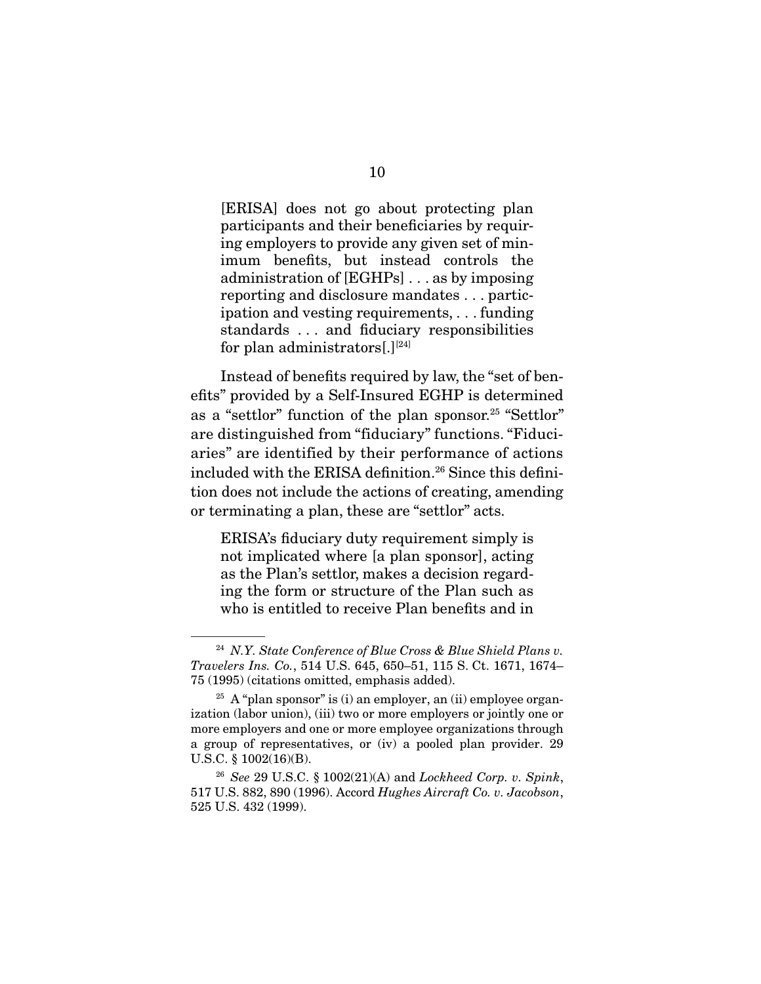[ERISA] does not go about protecting plan participants and their beneficiaries by requiring employers to provide any given set of minimum benefits, but instead controls the administration of [EGHPs] . . . as by imposing reporting and disclosure mandates . . . participation and vesting requirements, . . . funding standards . . . and fiduciary responsibilities for plan administrators[.] $^{[24]}$ 

 Instead of benefits required by law, the "set of benefits" provided by a Self-Insured EGHP is determined as a "settlor" function of the plan sponsor.<sup>25</sup> "Settlor" are distinguished from "fiduciary" functions. "Fiduciaries" are identified by their performance of actions included with the ERISA definition.<sup>26</sup> Since this definition does not include the actions of creating, amending or terminating a plan, these are "settlor" acts.

ERISA's fiduciary duty requirement simply is not implicated where [a plan sponsor], acting as the Plan's settlor, makes a decision regarding the form or structure of the Plan such as who is entitled to receive Plan benefits and in

 $24$  N.Y. State Conference of Blue Cross & Blue Shield Plans v. Travelers Ins. Co., 514 U.S. 645, 650–51, 115 S. Ct. 1671, 1674– 75 (1995) (citations omitted, emphasis added).

<sup>&</sup>lt;sup>25</sup> A "plan sponsor" is (i) an employer, an (ii) employee organization (labor union), (iii) two or more employers or jointly one or more employers and one or more employee organizations through a group of representatives, or (iv) a pooled plan provider. 29 U.S.C. § 1002(16)(B).

<sup>&</sup>lt;sup>26</sup> See 29 U.S.C. § 1002(21)(A) and *Lockheed Corp. v. Spink*, 517 U.S. 882, 890 (1996). Accord Hughes Aircraft Co. v. Jacobson, 525 U.S. 432 (1999).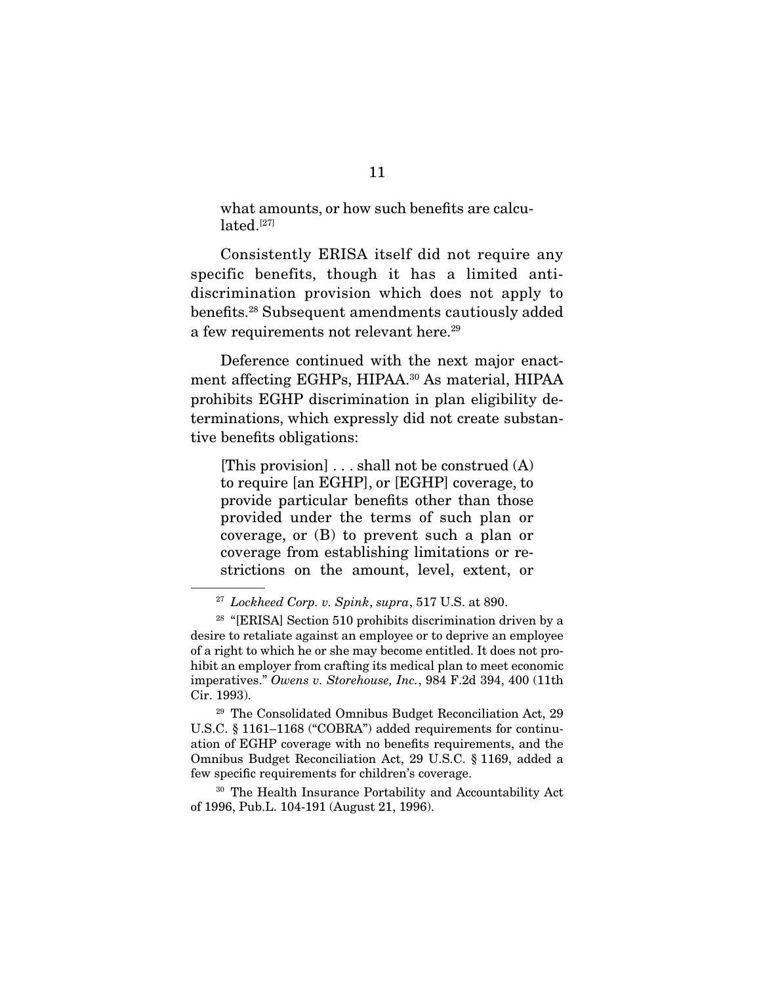what amounts, or how such benefits are calculated.<sup>[27]</sup>

 Consistently ERISA itself did not require any specific benefits, though it has a limited antidiscrimination provision which does not apply to benefits.28 Subsequent amendments cautiously added a few requirements not relevant here.<sup>29</sup>

 Deference continued with the next major enactment affecting EGHPs, HIPAA.<sup>30</sup> As material, HIPAA prohibits EGHP discrimination in plan eligibility determinations, which expressly did not create substantive benefits obligations:

[This provision]  $\ldots$  shall not be construed  $(A)$ to require [an EGHP], or [EGHP] coverage, to provide particular benefits other than those provided under the terms of such plan or coverage, or (B) to prevent such a plan or coverage from establishing limitations or restrictions on the amount, level, extent, or

<sup>30</sup> The Health Insurance Portability and Accountability Act of 1996, Pub.L. 104-191 (August 21, 1996).

 $27$  Lockheed Corp. v. Spink, supra, 517 U.S. at 890.

 $28$  "[ERISA] Section 510 prohibits discrimination driven by a desire to retaliate against an employee or to deprive an employee of a right to which he or she may become entitled. It does not prohibit an employer from crafting its medical plan to meet economic imperatives." Owens v. Storehouse, Inc., 984 F.2d 394, 400 (11th Cir. 1993).

<sup>29</sup> The Consolidated Omnibus Budget Reconciliation Act, 29 U.S.C. § 1161–1168 ("COBRA") added requirements for continuation of EGHP coverage with no benefits requirements, and the Omnibus Budget Reconciliation Act, 29 U.S.C. § 1169, added a few specific requirements for children's coverage.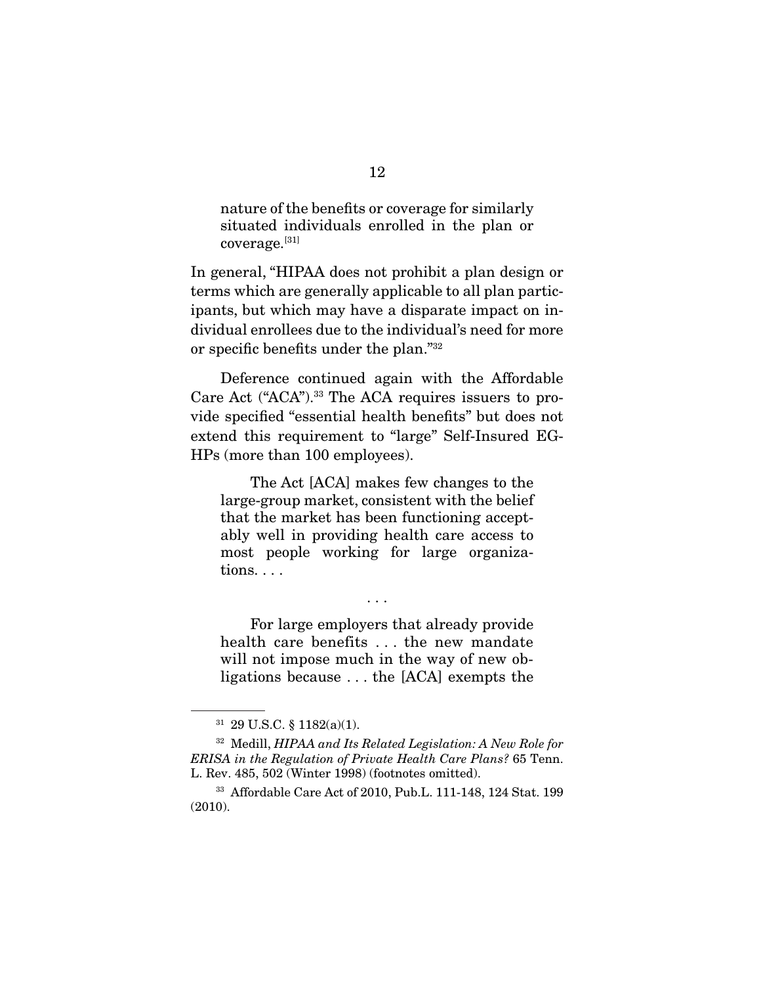nature of the benefits or coverage for similarly situated individuals enrolled in the plan or coverage.[31]

In general, "HIPAA does not prohibit a plan design or terms which are generally applicable to all plan participants, but which may have a disparate impact on individual enrollees due to the individual's need for more or specific benefits under the plan."32

 Deference continued again with the Affordable Care Act ("ACA").33 The ACA requires issuers to provide specified "essential health benefits" but does not extend this requirement to "large" Self-Insured EG-HPs (more than 100 employees).

 The Act [ACA] makes few changes to the large-group market, consistent with the belief that the market has been functioning acceptably well in providing health care access to most people working for large organizations. . . .

 For large employers that already provide health care benefits . . . the new mandate will not impose much in the way of new obligations because . . . the [ACA] exempts the

. . .

<sup>31</sup> 29 U.S.C. § 1182(a)(1).

<sup>32</sup> Medill, HIPAA and Its Related Legislation: A New Role for ERISA in the Regulation of Private Health Care Plans? 65 Tenn. L. Rev. 485, 502 (Winter 1998) (footnotes omitted).

<sup>33</sup> Affordable Care Act of 2010, Pub.L. 111-148, 124 Stat. 199 (2010).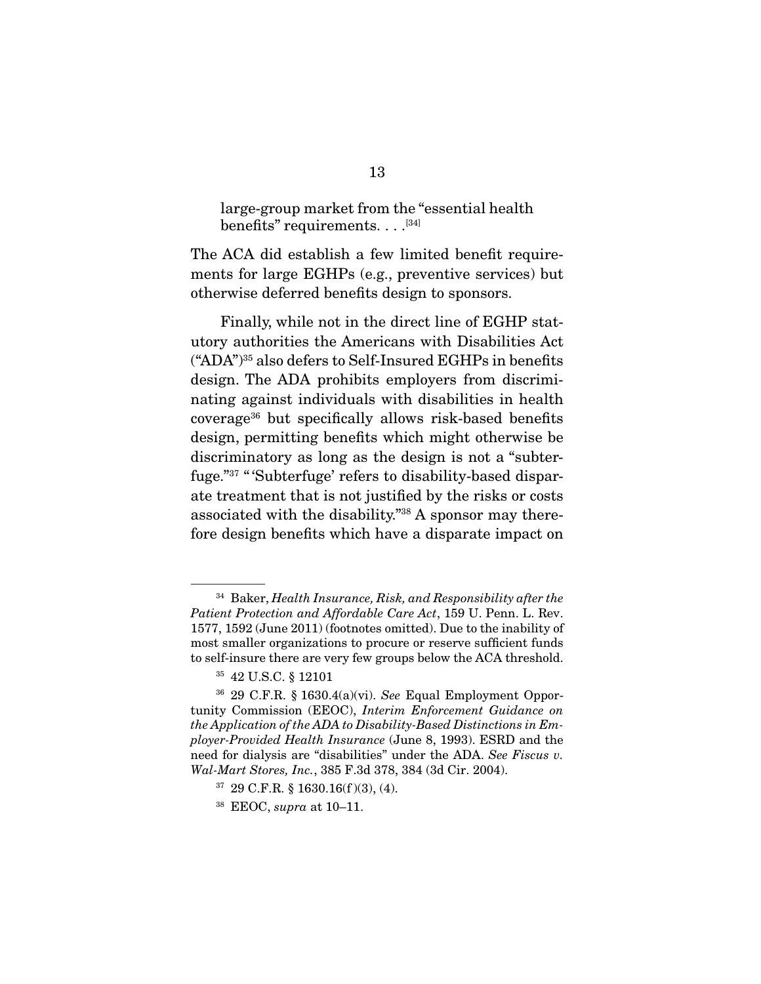large-group market from the "essential health benefits" requirements. . . .<sup>[34]</sup>

The ACA did establish a few limited benefit requirements for large EGHPs (e.g., preventive services) but otherwise deferred benefits design to sponsors.

 Finally, while not in the direct line of EGHP statutory authorities the Americans with Disabilities Act ("ADA")35 also defers to Self-Insured EGHPs in benefits design. The ADA prohibits employers from discriminating against individuals with disabilities in health coverage36 but specifically allows risk-based benefits design, permitting benefits which might otherwise be discriminatory as long as the design is not a "subterfuge."37 " 'Subterfuge' refers to disability-based disparate treatment that is not justified by the risks or costs associated with the disability."38 A sponsor may therefore design benefits which have a disparate impact on

 $34$  Baker, Health Insurance, Risk, and Responsibility after the Patient Protection and Affordable Care Act, 159 U. Penn. L. Rev. 1577, 1592 (June 2011) (footnotes omitted). Due to the inability of most smaller organizations to procure or reserve sufficient funds to self-insure there are very few groups below the ACA threshold.

<sup>35</sup> 42 U.S.C. § 12101

<sup>36</sup> 29 C.F.R. § 1630.4(a)(vi). See Equal Employment Opportunity Commission (EEOC), Interim Enforcement Guidance on the Application of the ADA to Disability-Based Distinctions in Employer-Provided Health Insurance (June 8, 1993). ESRD and the need for dialysis are "disabilities" under the ADA. See Fiscus v. Wal-Mart Stores, Inc., 385 F.3d 378, 384 (3d Cir. 2004).

 $37$  29 C.F.R. § 1630.16(f)(3), (4).

 $38$  EEOC, supra at 10–11.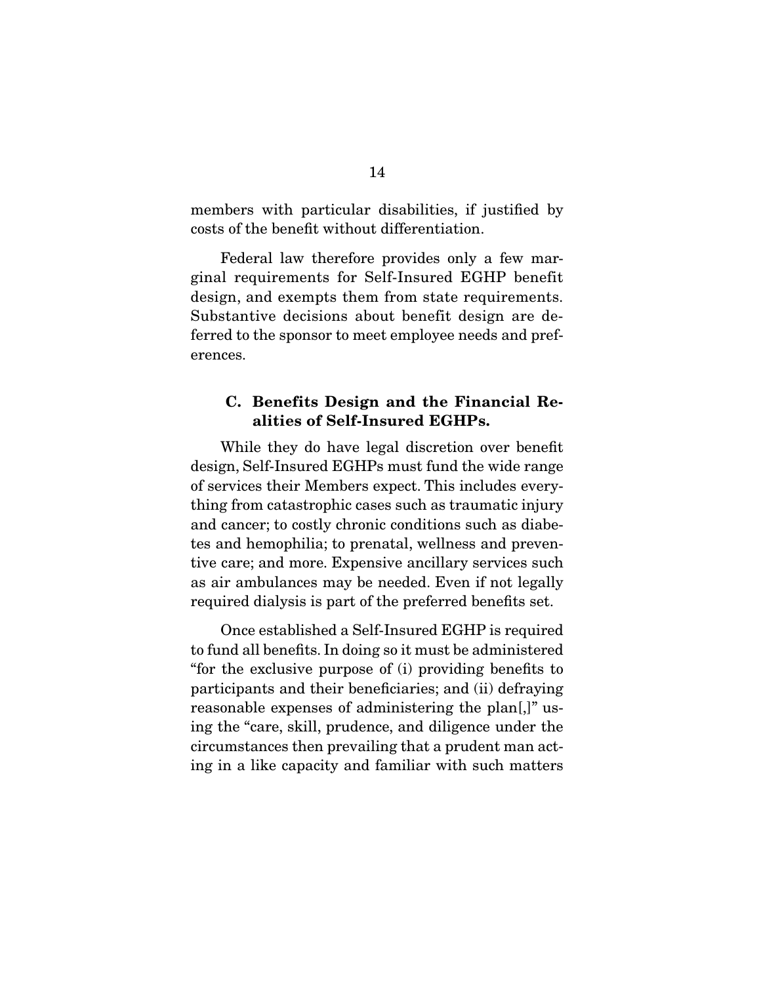members with particular disabilities, if justified by costs of the benefit without differentiation.

 Federal law therefore provides only a few marginal requirements for Self-Insured EGHP benefit design, and exempts them from state requirements. Substantive decisions about benefit design are deferred to the sponsor to meet employee needs and preferences.

#### **C. Benefits Design and the Financial Realities of Self-Insured EGHPs.**

 While they do have legal discretion over benefit design, Self-Insured EGHPs must fund the wide range of services their Members expect. This includes everything from catastrophic cases such as traumatic injury and cancer; to costly chronic conditions such as diabetes and hemophilia; to prenatal, wellness and preventive care; and more. Expensive ancillary services such as air ambulances may be needed. Even if not legally required dialysis is part of the preferred benefits set.

 Once established a Self-Insured EGHP is required to fund all benefits. In doing so it must be administered "for the exclusive purpose of (i) providing benefits to participants and their beneficiaries; and (ii) defraying reasonable expenses of administering the plan[,]" using the "care, skill, prudence, and diligence under the circumstances then prevailing that a prudent man acting in a like capacity and familiar with such matters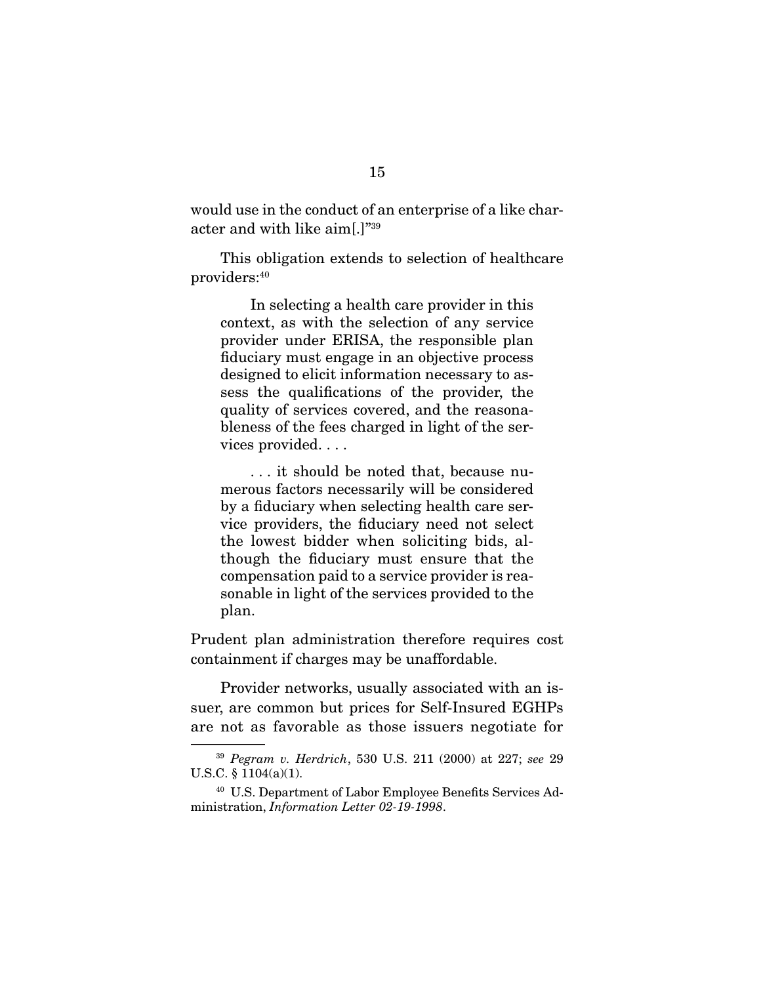would use in the conduct of an enterprise of a like character and with like aim[.]"39

 This obligation extends to selection of healthcare providers:40

 In selecting a health care provider in this context, as with the selection of any service provider under ERISA, the responsible plan fiduciary must engage in an objective process designed to elicit information necessary to assess the qualifications of the provider, the quality of services covered, and the reasonableness of the fees charged in light of the services provided. . . .

 . . . it should be noted that, because numerous factors necessarily will be considered by a fiduciary when selecting health care service providers, the fiduciary need not select the lowest bidder when soliciting bids, although the fiduciary must ensure that the compensation paid to a service provider is reasonable in light of the services provided to the plan.

Prudent plan administration therefore requires cost containment if charges may be unaffordable.

 Provider networks, usually associated with an issuer, are common but prices for Self-Insured EGHPs are not as favorable as those issuers negotiate for

<sup>39</sup> Pegram v. Herdrich, 530 U.S. 211 (2000) at 227; see 29 U.S.C. § 1104(a)(1).

<sup>40</sup> U.S. Department of Labor Employee Benefits Services Administration, Information Letter 02-19-1998.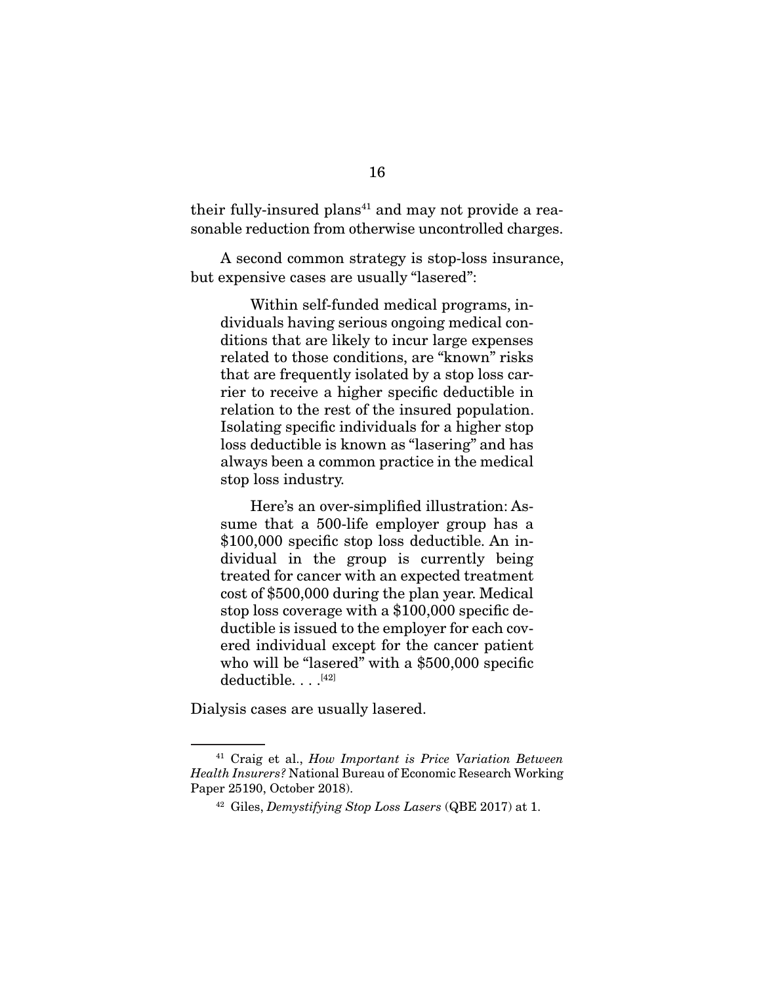their fully-insured plans $41$  and may not provide a reasonable reduction from otherwise uncontrolled charges.

 A second common strategy is stop-loss insurance, but expensive cases are usually "lasered":

 Within self-funded medical programs, individuals having serious ongoing medical conditions that are likely to incur large expenses related to those conditions, are "known" risks that are frequently isolated by a stop loss carrier to receive a higher specific deductible in relation to the rest of the insured population. Isolating specific individuals for a higher stop loss deductible is known as "lasering" and has always been a common practice in the medical stop loss industry.

 Here's an over-simplified illustration: Assume that a 500-life employer group has a \$100,000 specific stop loss deductible. An individual in the group is currently being treated for cancer with an expected treatment cost of \$500,000 during the plan year. Medical stop loss coverage with a \$100,000 specific deductible is issued to the employer for each covered individual except for the cancer patient who will be "lasered" with a \$500,000 specific deductible. . . .<sup>[42]</sup>

Dialysis cases are usually lasered.

<sup>&</sup>lt;sup>41</sup> Craig et al., How Important is Price Variation Between Health Insurers? National Bureau of Economic Research Working Paper 25190, October 2018).

 $42$  Giles, Demystifying Stop Loss Lasers (QBE 2017) at 1.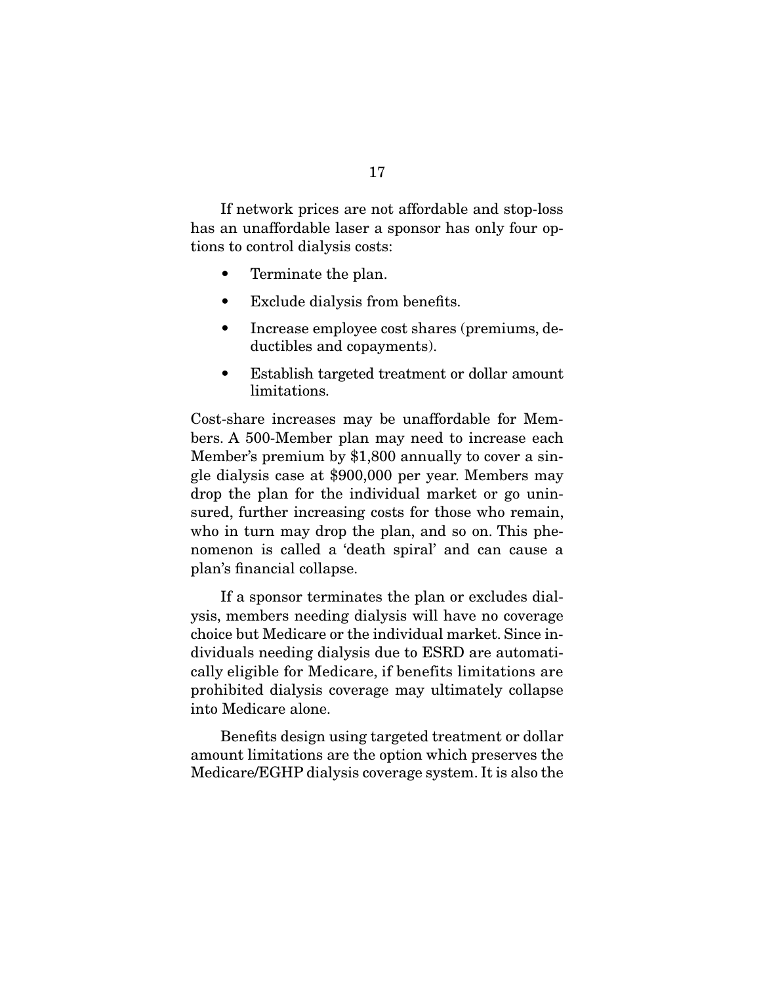If network prices are not affordable and stop-loss has an unaffordable laser a sponsor has only four options to control dialysis costs:

- Terminate the plan.
- Exclude dialysis from benefits.
- Increase employee cost shares (premiums, deductibles and copayments).
- Establish targeted treatment or dollar amount limitations.

Cost-share increases may be unaffordable for Members. A 500-Member plan may need to increase each Member's premium by \$1,800 annually to cover a single dialysis case at \$900,000 per year. Members may drop the plan for the individual market or go uninsured, further increasing costs for those who remain, who in turn may drop the plan, and so on. This phenomenon is called a 'death spiral' and can cause a plan's financial collapse.

 If a sponsor terminates the plan or excludes dialysis, members needing dialysis will have no coverage choice but Medicare or the individual market. Since individuals needing dialysis due to ESRD are automatically eligible for Medicare, if benefits limitations are prohibited dialysis coverage may ultimately collapse into Medicare alone.

 Benefits design using targeted treatment or dollar amount limitations are the option which preserves the Medicare/EGHP dialysis coverage system. It is also the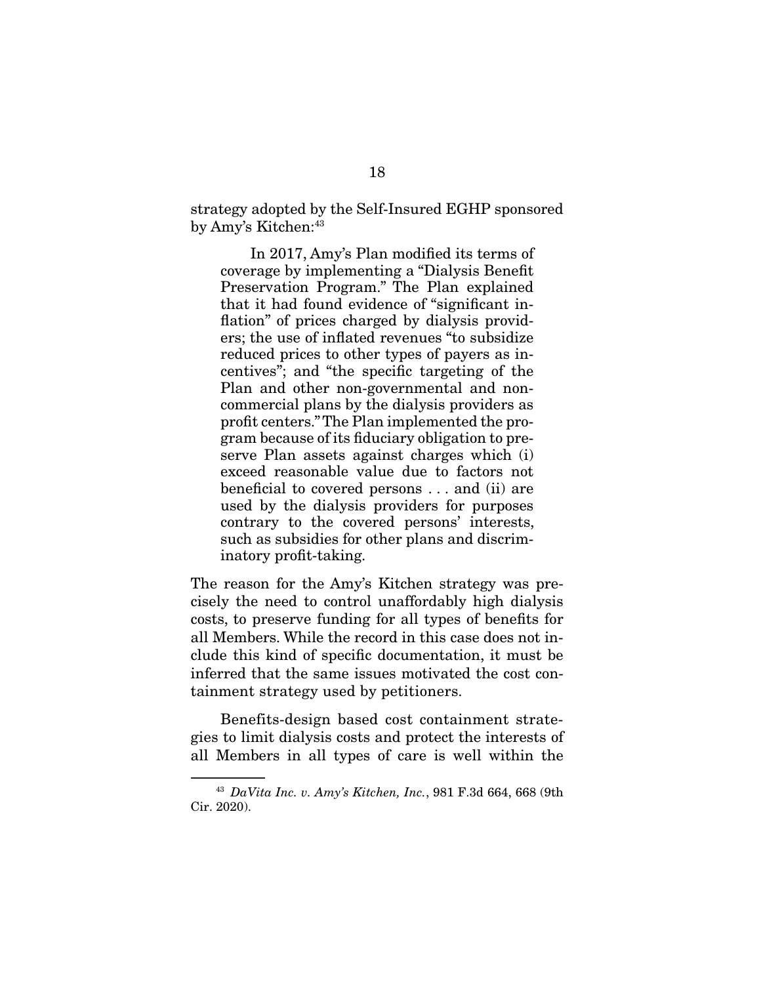strategy adopted by the Self-Insured EGHP sponsored by Amy's Kitchen:<sup>43</sup>

 In 2017, Amy's Plan modified its terms of coverage by implementing a "Dialysis Benefit Preservation Program." The Plan explained that it had found evidence of "significant inflation" of prices charged by dialysis providers; the use of inflated revenues "to subsidize reduced prices to other types of payers as incentives"; and "the specific targeting of the Plan and other non-governmental and noncommercial plans by the dialysis providers as profit centers." The Plan implemented the program because of its fiduciary obligation to preserve Plan assets against charges which (i) exceed reasonable value due to factors not beneficial to covered persons . . . and (ii) are used by the dialysis providers for purposes contrary to the covered persons' interests, such as subsidies for other plans and discriminatory profit-taking.

The reason for the Amy's Kitchen strategy was precisely the need to control unaffordably high dialysis costs, to preserve funding for all types of benefits for all Members. While the record in this case does not include this kind of specific documentation, it must be inferred that the same issues motivated the cost containment strategy used by petitioners.

 Benefits-design based cost containment strategies to limit dialysis costs and protect the interests of all Members in all types of care is well within the

 $43$  DaVita Inc. v. Amy's Kitchen, Inc., 981 F.3d 664, 668 (9th Cir. 2020).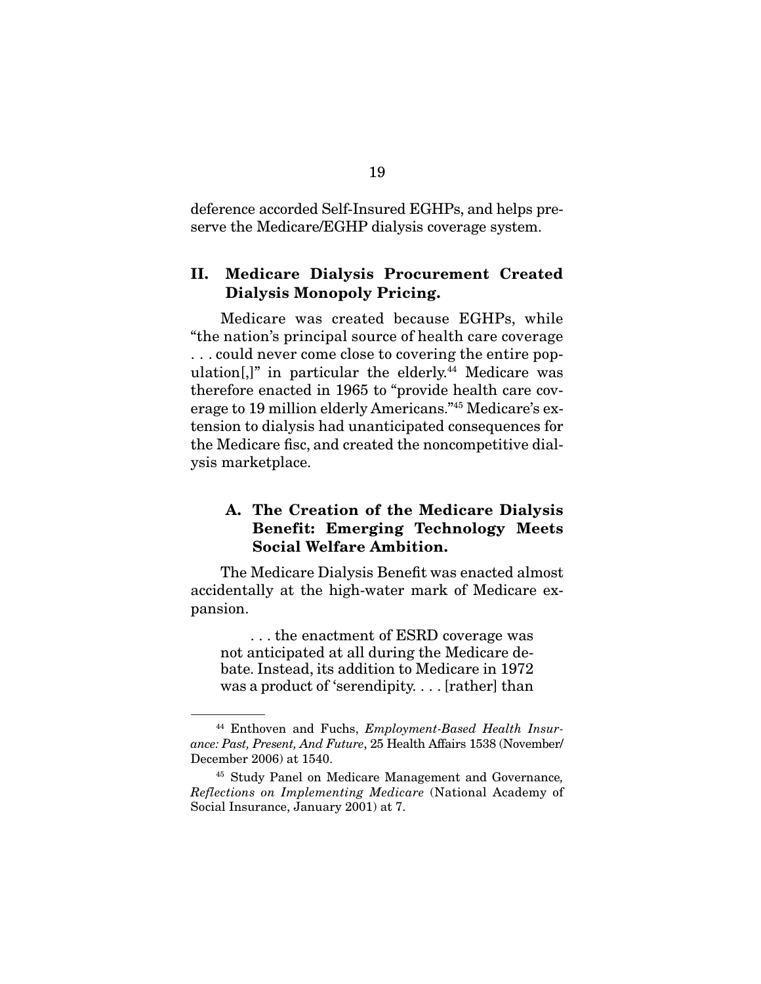deference accorded Self-Insured EGHPs, and helps preserve the Medicare/EGHP dialysis coverage system.

### **II. Medicare Dialysis Procurement Created Dialysis Monopoly Pricing.**

 Medicare was created because EGHPs, while "the nation's principal source of health care coverage . . . could never come close to covering the entire population $[$ ,  $]$ " in particular the elderly.<sup>44</sup> Medicare was therefore enacted in 1965 to "provide health care coverage to 19 million elderly Americans."45 Medicare's extension to dialysis had unanticipated consequences for the Medicare fisc, and created the noncompetitive dialysis marketplace.

### **A. The Creation of the Medicare Dialysis Benefit: Emerging Technology Meets Social Welfare Ambition.**

 The Medicare Dialysis Benefit was enacted almost accidentally at the high-water mark of Medicare expansion.

 . . . the enactment of ESRD coverage was not anticipated at all during the Medicare debate. Instead, its addition to Medicare in 1972 was a product of 'serendipity. . . . [rather] than

<sup>&</sup>lt;sup>44</sup> Enthoven and Fuchs, *Employment-Based Health Insur*ance: Past, Present, And Future, 25 Health Affairs 1538 (November/ December 2006) at 1540.

<sup>45</sup> Study Panel on Medicare Management and Governance, Reflections on Implementing Medicare (National Academy of Social Insurance, January 2001) at 7.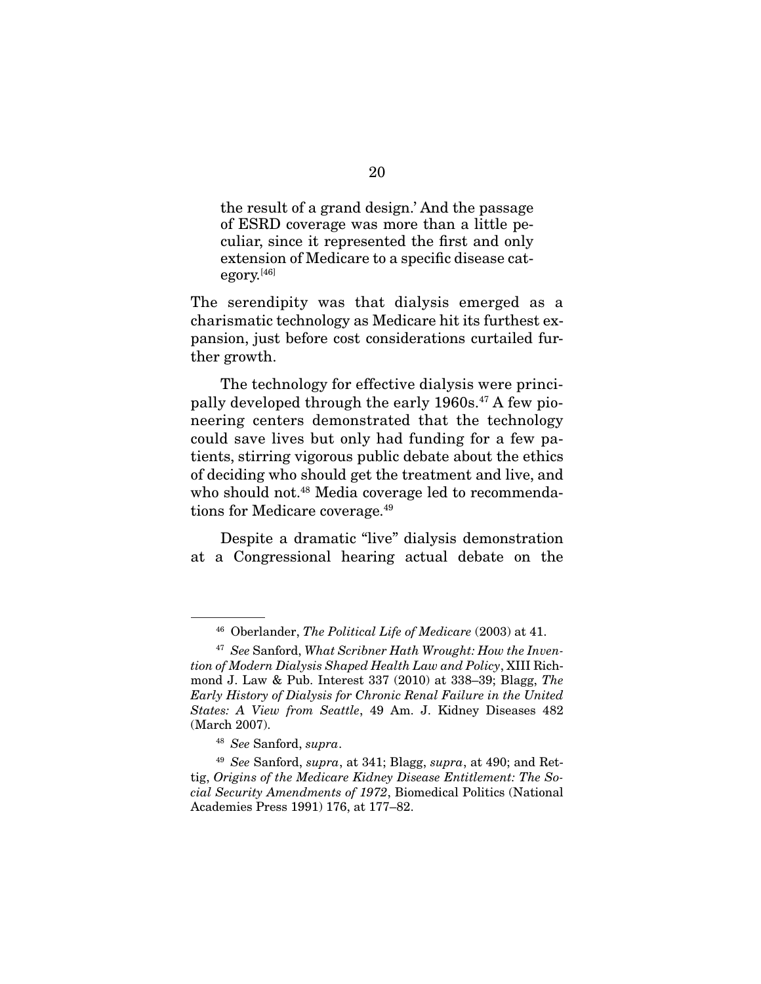the result of a grand design.' And the passage of ESRD coverage was more than a little peculiar, since it represented the first and only extension of Medicare to a specific disease category.<sup>[46]</sup>

The serendipity was that dialysis emerged as a charismatic technology as Medicare hit its furthest expansion, just before cost considerations curtailed further growth.

 The technology for effective dialysis were principally developed through the early 1960s.<sup>47</sup> A few pioneering centers demonstrated that the technology could save lives but only had funding for a few patients, stirring vigorous public debate about the ethics of deciding who should get the treatment and live, and who should not.<sup>48</sup> Media coverage led to recommendations for Medicare coverage.49

 Despite a dramatic "live" dialysis demonstration at a Congressional hearing actual debate on the

 $46$  Oberlander, The Political Life of Medicare (2003) at 41.

 $47$  See Sanford, What Scribner Hath Wrought: How the Invention of Modern Dialysis Shaped Health Law and Policy, XIII Richmond J. Law & Pub. Interest 337 (2010) at 338–39; Blagg, The Early History of Dialysis for Chronic Renal Failure in the United States: A View from Seattle, 49 Am. J. Kidney Diseases 482 (March 2007).

<sup>48</sup> See Sanford, supra.

 $49$  See Sanford, supra, at 341; Blagg, supra, at 490; and Rettig, Origins of the Medicare Kidney Disease Entitlement: The Social Security Amendments of 1972, Biomedical Politics (National Academies Press 1991) 176, at 177–82.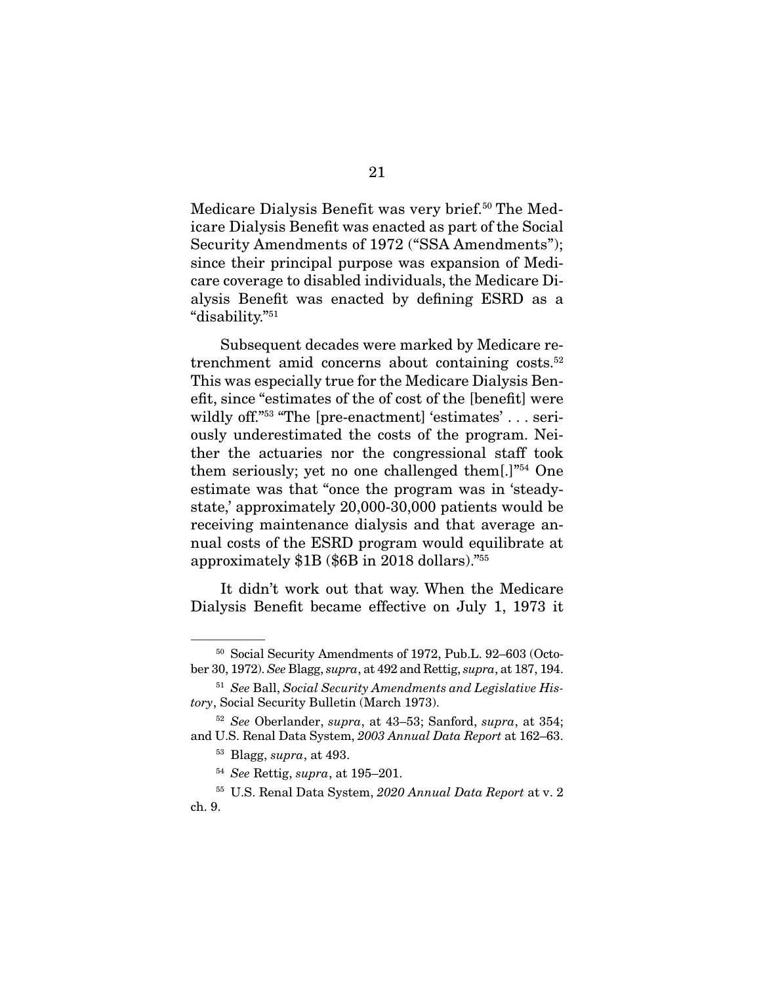Medicare Dialysis Benefit was very brief.<sup>50</sup> The Medicare Dialysis Benefit was enacted as part of the Social Security Amendments of 1972 ("SSA Amendments"); since their principal purpose was expansion of Medicare coverage to disabled individuals, the Medicare Dialysis Benefit was enacted by defining ESRD as a "disability."51

 Subsequent decades were marked by Medicare retrenchment amid concerns about containing costs.<sup>52</sup> This was especially true for the Medicare Dialysis Benefit, since "estimates of the of cost of the [benefit] were wildly off."<sup>53</sup> "The [pre-enactment] 'estimates' . . . seriously underestimated the costs of the program. Neither the actuaries nor the congressional staff took them seriously; yet no one challenged them[.]"54 One estimate was that "once the program was in 'steadystate,' approximately 20,000-30,000 patients would be receiving maintenance dialysis and that average annual costs of the ESRD program would equilibrate at approximately \$1B (\$6B in 2018 dollars)."55

 It didn't work out that way. When the Medicare Dialysis Benefit became effective on July 1, 1973 it

<sup>50</sup> Social Security Amendments of 1972, Pub.L. 92–603 (October 30, 1972). See Blagg, supra, at 492 and Rettig, supra, at 187, 194.

<sup>&</sup>lt;sup>51</sup> See Ball, Social Security Amendments and Legislative History, Social Security Bulletin (March 1973).

 $52$  See Oberlander, supra, at 43–53; Sanford, supra, at 354; and U.S. Renal Data System, 2003 Annual Data Report at 162–63.

 $53$  Blagg, supra, at 493.

 $54$  See Rettig, supra, at 195–201.

<sup>55</sup> U.S. Renal Data System, 2020 Annual Data Report at v. 2 ch. 9.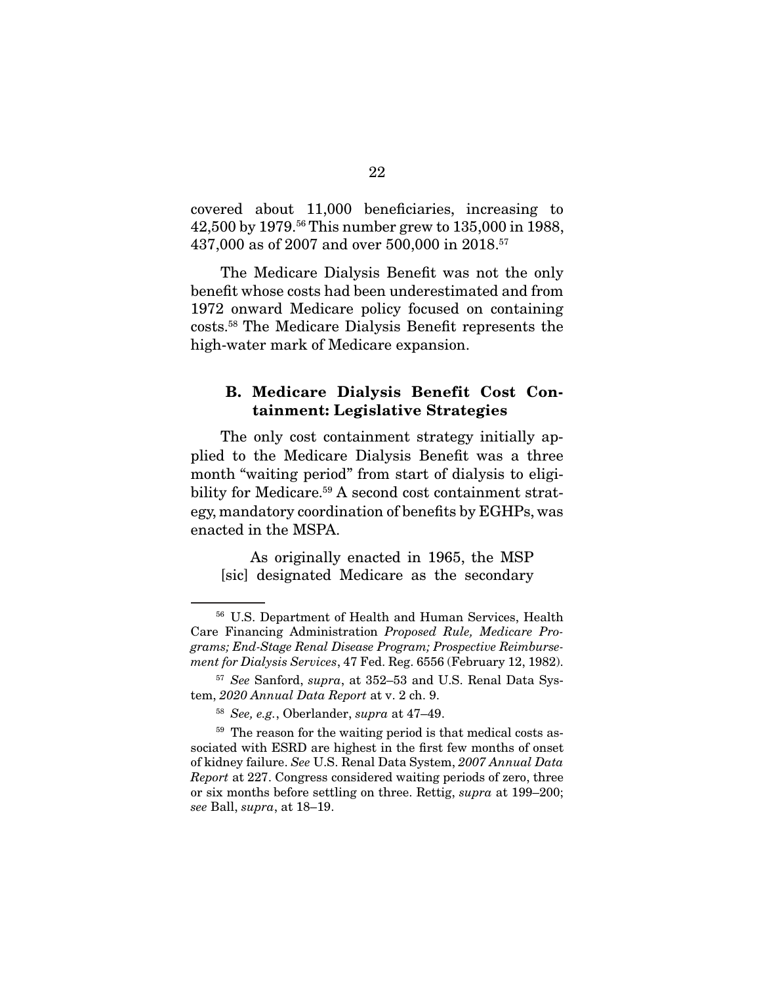covered about 11,000 beneficiaries, increasing to 42,500 by 1979.56 This number grew to 135,000 in 1988, 437,000 as of 2007 and over 500,000 in 2018.57

 The Medicare Dialysis Benefit was not the only benefit whose costs had been underestimated and from 1972 onward Medicare policy focused on containing costs.58 The Medicare Dialysis Benefit represents the high-water mark of Medicare expansion.

#### **B. Medicare Dialysis Benefit Cost Containment: Legislative Strategies**

 The only cost containment strategy initially applied to the Medicare Dialysis Benefit was a three month "waiting period" from start of dialysis to eligibility for Medicare.<sup>59</sup> A second cost containment strategy, mandatory coordination of benefits by EGHPs, was enacted in the MSPA.

 As originally enacted in 1965, the MSP [sic] designated Medicare as the secondary

<sup>56</sup> U.S. Department of Health and Human Services, Health Care Financing Administration Proposed Rule, Medicare Programs; End-Stage Renal Disease Program; Prospective Reimbursement for Dialysis Services, 47 Fed. Reg. 6556 (February 12, 1982).

<sup>57</sup> See Sanford, supra, at 352–53 and U.S. Renal Data System, 2020 Annual Data Report at v. 2 ch. 9.

 $58$  See, e.g., Oberlander, supra at 47–49.

<sup>&</sup>lt;sup>59</sup> The reason for the waiting period is that medical costs associated with ESRD are highest in the first few months of onset of kidney failure. See U.S. Renal Data System, 2007 Annual Data Report at 227. Congress considered waiting periods of zero, three or six months before settling on three. Rettig, supra at 199–200; see Ball, supra, at 18–19.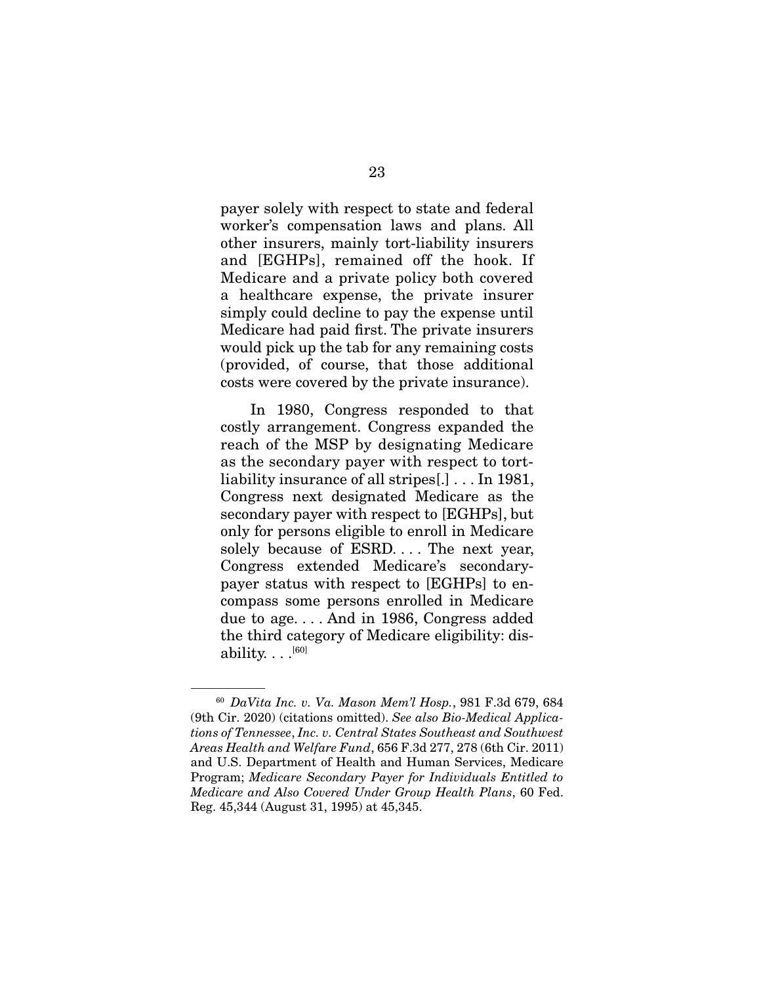payer solely with respect to state and federal worker's compensation laws and plans. All other insurers, mainly tort-liability insurers and [EGHPs], remained off the hook. If Medicare and a private policy both covered a healthcare expense, the private insurer simply could decline to pay the expense until Medicare had paid first. The private insurers would pick up the tab for any remaining costs (provided, of course, that those additional costs were covered by the private insurance).

 In 1980, Congress responded to that costly arrangement. Congress expanded the reach of the MSP by designating Medicare as the secondary payer with respect to tortliability insurance of all stripes[.] . . . In 1981, Congress next designated Medicare as the secondary payer with respect to [EGHPs], but only for persons eligible to enroll in Medicare solely because of ESRD.... The next year, Congress extended Medicare's secondarypayer status with respect to [EGHPs] to encompass some persons enrolled in Medicare due to age. . . . And in 1986, Congress added the third category of Medicare eligibility: disability.  $\ldots$ [60]

<sup>60</sup> DaVita Inc. v. Va. Mason Mem'l Hosp., 981 F.3d 679, 684 (9th Cir. 2020) (citations omitted). See also Bio-Medical Applications of Tennessee, Inc. v. Central States Southeast and Southwest Areas Health and Welfare Fund, 656 F.3d 277, 278 (6th Cir. 2011) and U.S. Department of Health and Human Services, Medicare Program; Medicare Secondary Payer for Individuals Entitled to Medicare and Also Covered Under Group Health Plans, 60 Fed. Reg. 45,344 (August 31, 1995) at 45,345.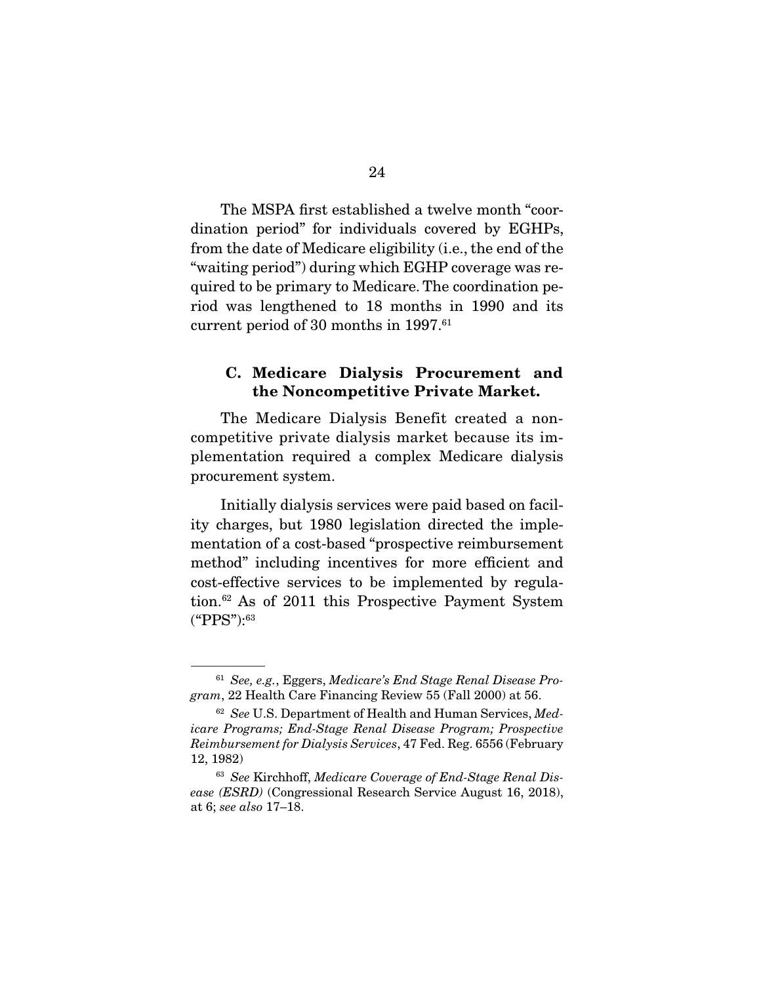The MSPA first established a twelve month "coordination period" for individuals covered by EGHPs, from the date of Medicare eligibility (i.e., the end of the "waiting period") during which EGHP coverage was required to be primary to Medicare. The coordination period was lengthened to 18 months in 1990 and its current period of 30 months in 1997.<sup>61</sup>

#### **C. Medicare Dialysis Procurement and the Noncompetitive Private Market.**

 The Medicare Dialysis Benefit created a noncompetitive private dialysis market because its implementation required a complex Medicare dialysis procurement system.

 Initially dialysis services were paid based on facility charges, but 1980 legislation directed the implementation of a cost-based "prospective reimbursement method" including incentives for more efficient and cost-effective services to be implemented by regulation.62 As of 2011 this Prospective Payment System ("PPS"):63

 $61$  See, e.g., Eggers, Medicare's End Stage Renal Disease Program, 22 Health Care Financing Review 55 (Fall 2000) at 56.

<sup>&</sup>lt;sup>62</sup> See U.S. Department of Health and Human Services, Medicare Programs; End-Stage Renal Disease Program; Prospective Reimbursement for Dialysis Services, 47 Fed. Reg. 6556 (February 12, 1982)

<sup>63</sup> See Kirchhoff, Medicare Coverage of End-Stage Renal Disease (ESRD) (Congressional Research Service August 16, 2018), at 6; see also 17–18.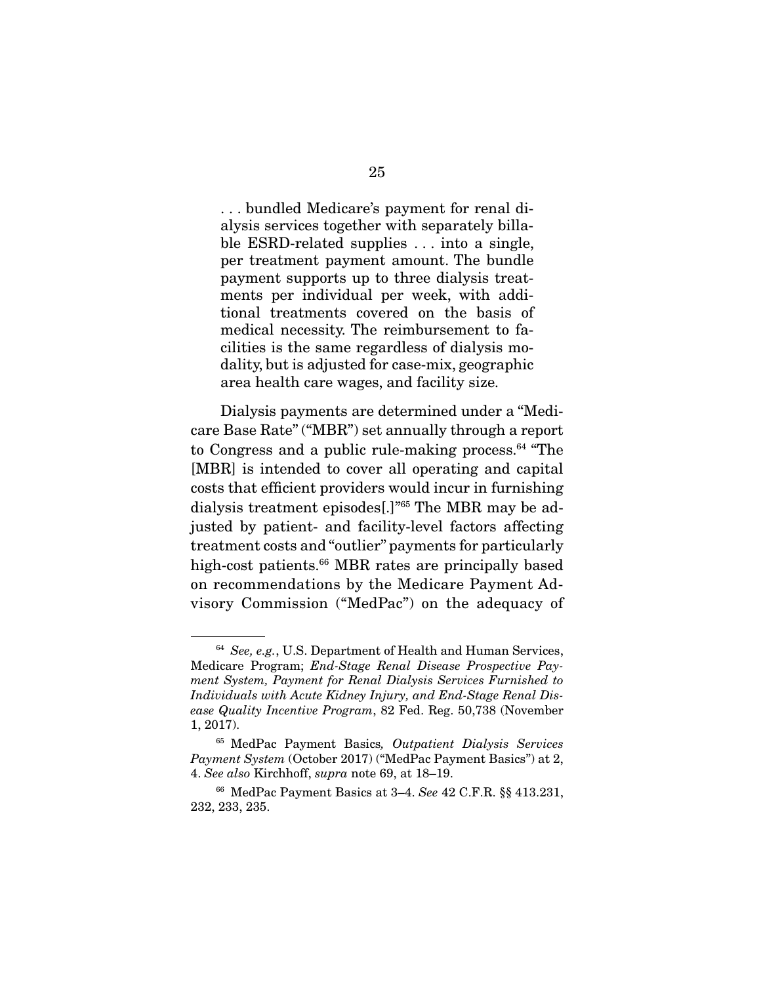. . . bundled Medicare's payment for renal dialysis services together with separately billable ESRD-related supplies . . . into a single, per treatment payment amount. The bundle payment supports up to three dialysis treatments per individual per week, with additional treatments covered on the basis of medical necessity. The reimbursement to facilities is the same regardless of dialysis modality, but is adjusted for case-mix, geographic area health care wages, and facility size.

 Dialysis payments are determined under a "Medicare Base Rate" ("MBR") set annually through a report to Congress and a public rule-making process. $64$  "The [MBR] is intended to cover all operating and capital costs that efficient providers would incur in furnishing dialysis treatment episodes[.]"65 The MBR may be adjusted by patient- and facility-level factors affecting treatment costs and "outlier" payments for particularly high-cost patients.<sup>66</sup> MBR rates are principally based on recommendations by the Medicare Payment Advisory Commission ("MedPac") on the adequacy of

 $64$  See, e.g., U.S. Department of Health and Human Services, Medicare Program; End-Stage Renal Disease Prospective Payment System, Payment for Renal Dialysis Services Furnished to Individuals with Acute Kidney Injury, and End-Stage Renal Disease Quality Incentive Program, 82 Fed. Reg. 50,738 (November 1, 2017).

<sup>65</sup> MedPac Payment Basics, Outpatient Dialysis Services Payment System (October 2017) ("MedPac Payment Basics") at 2, 4. See also Kirchhoff, supra note 69, at 18–19.

<sup>66</sup> MedPac Payment Basics at 3–4. See 42 C.F.R. §§ 413.231, 232, 233, 235.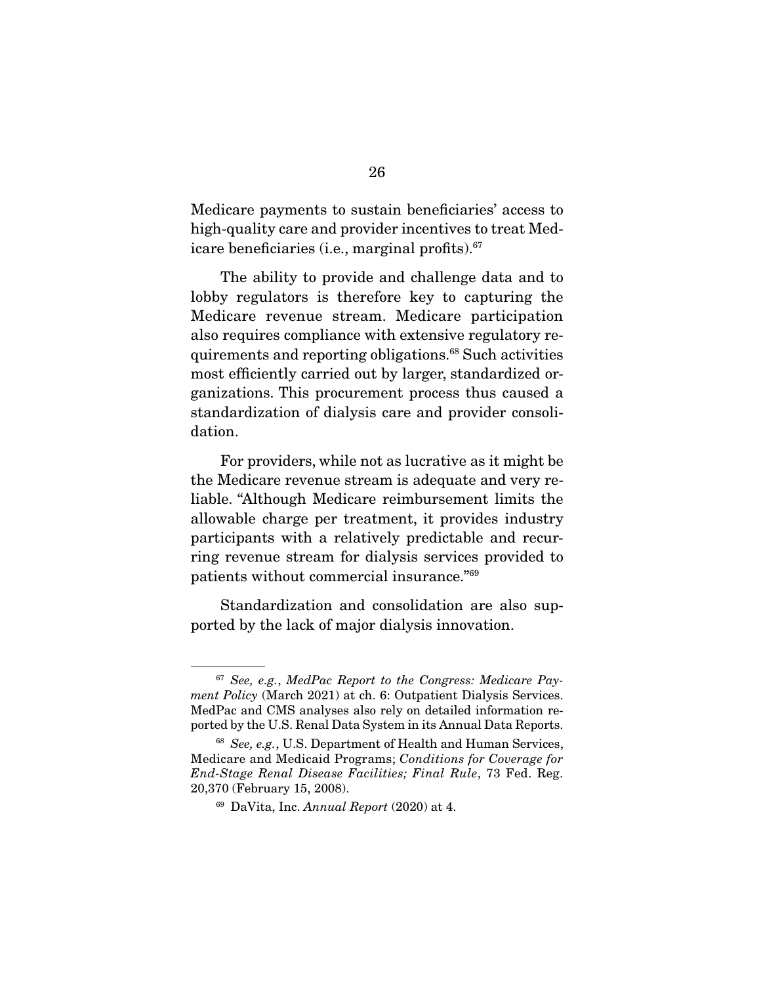Medicare payments to sustain beneficiaries' access to high-quality care and provider incentives to treat Medicare beneficiaries (i.e., marginal profits).<sup>67</sup>

 The ability to provide and challenge data and to lobby regulators is therefore key to capturing the Medicare revenue stream. Medicare participation also requires compliance with extensive regulatory requirements and reporting obligations.68 Such activities most efficiently carried out by larger, standardized organizations. This procurement process thus caused a standardization of dialysis care and provider consolidation.

 For providers, while not as lucrative as it might be the Medicare revenue stream is adequate and very reliable. "Although Medicare reimbursement limits the allowable charge per treatment, it provides industry participants with a relatively predictable and recurring revenue stream for dialysis services provided to patients without commercial insurance."69

 Standardization and consolidation are also supported by the lack of major dialysis innovation.

 $67$  See, e.g., MedPac Report to the Congress: Medicare Payment Policy (March 2021) at ch. 6: Outpatient Dialysis Services. MedPac and CMS analyses also rely on detailed information reported by the U.S. Renal Data System in its Annual Data Reports.

<sup>68</sup> See, e.g., U.S. Department of Health and Human Services, Medicare and Medicaid Programs; Conditions for Coverage for End-Stage Renal Disease Facilities; Final Rule, 73 Fed. Reg. 20,370 (February 15, 2008).

 $69$  DaVita, Inc. Annual Report (2020) at 4.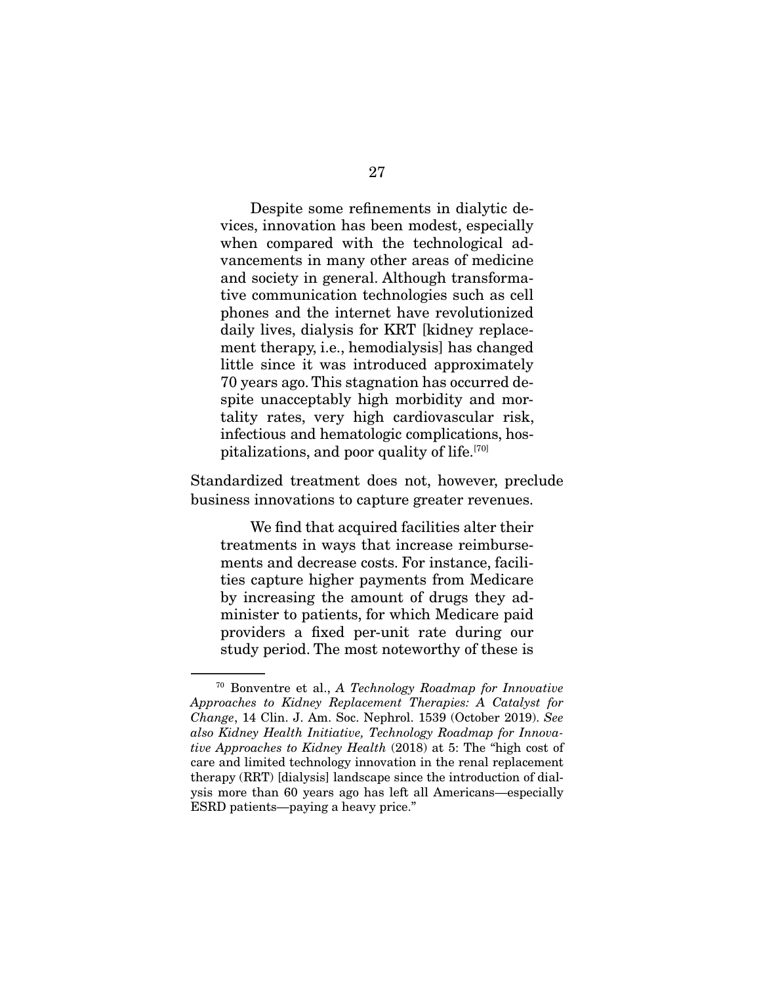Despite some refinements in dialytic devices, innovation has been modest, especially when compared with the technological advancements in many other areas of medicine and society in general. Although transformative communication technologies such as cell phones and the internet have revolutionized daily lives, dialysis for KRT [kidney replacement therapy, i.e., hemodialysis] has changed little since it was introduced approximately 70 years ago. This stagnation has occurred despite unacceptably high morbidity and mortality rates, very high cardiovascular risk, infectious and hematologic complications, hospitalizations, and poor quality of life.<sup>[70]</sup>

Standardized treatment does not, however, preclude business innovations to capture greater revenues.

 We find that acquired facilities alter their treatments in ways that increase reimbursements and decrease costs. For instance, facilities capture higher payments from Medicare by increasing the amount of drugs they administer to patients, for which Medicare paid providers a fixed per-unit rate during our study period. The most noteworthy of these is

<sup>70</sup> Bonventre et al., A Technology Roadmap for Innovative Approaches to Kidney Replacement Therapies: A Catalyst for Change, 14 Clin. J. Am. Soc. Nephrol. 1539 (October 2019). See also Kidney Health Initiative, Technology Roadmap for Innovative Approaches to Kidney Health (2018) at 5: The "high cost of care and limited technology innovation in the renal replacement therapy (RRT) [dialysis] landscape since the introduction of dialysis more than 60 years ago has left all Americans—especially ESRD patients—paying a heavy price."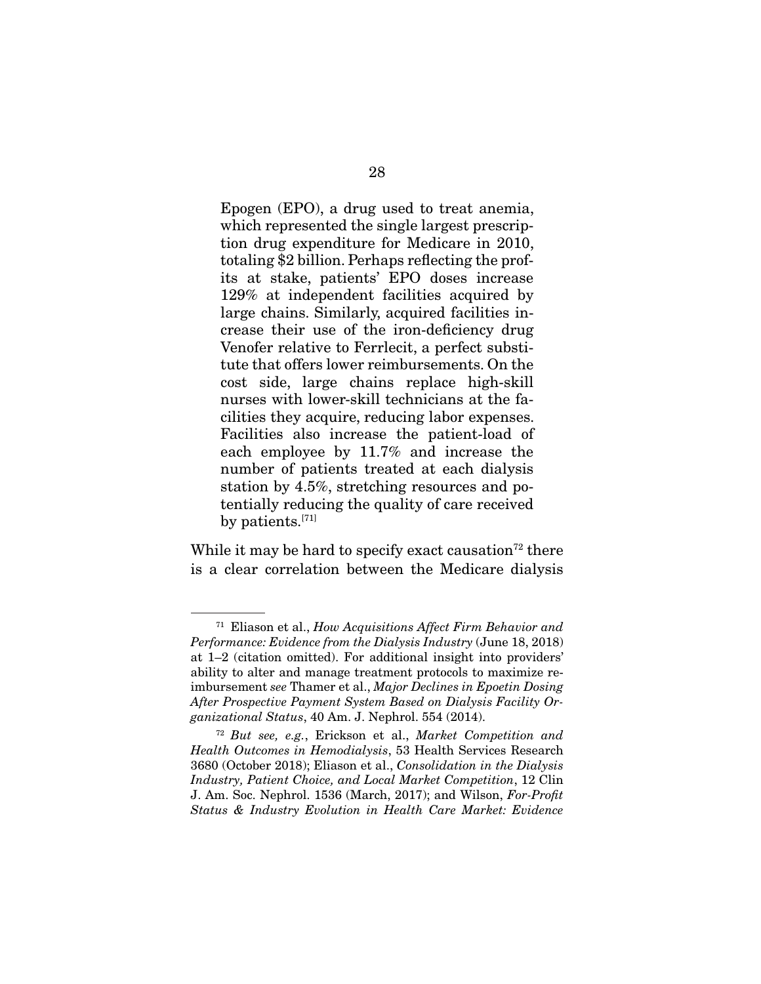Epogen (EPO), a drug used to treat anemia, which represented the single largest prescription drug expenditure for Medicare in 2010, totaling \$2 billion. Perhaps reflecting the profits at stake, patients' EPO doses increase 129% at independent facilities acquired by large chains. Similarly, acquired facilities increase their use of the iron-deficiency drug Venofer relative to Ferrlecit, a perfect substitute that offers lower reimbursements. On the cost side, large chains replace high-skill nurses with lower-skill technicians at the facilities they acquire, reducing labor expenses. Facilities also increase the patient-load of each employee by 11.7% and increase the number of patients treated at each dialysis station by 4.5%, stretching resources and potentially reducing the quality of care received by patients.[71]

While it may be hard to specify exact causation<sup>72</sup> there is a clear correlation between the Medicare dialysis

 $71$  Eliason et al., How Acquisitions Affect Firm Behavior and Performance: Evidence from the Dialysis Industry (June 18, 2018) at 1–2 (citation omitted). For additional insight into providers' ability to alter and manage treatment protocols to maximize reimbursement see Thamer et al., Major Declines in Epoetin Dosing After Prospective Payment System Based on Dialysis Facility Organizational Status, 40 Am. J. Nephrol. 554 (2014).

 $72$  But see, e.g., Erickson et al., Market Competition and Health Outcomes in Hemodialysis, 53 Health Services Research 3680 (October 2018); Eliason et al., Consolidation in the Dialysis Industry, Patient Choice, and Local Market Competition, 12 Clin J. Am. Soc. Nephrol. 1536 (March, 2017); and Wilson, For-Profit Status & Industry Evolution in Health Care Market: Evidence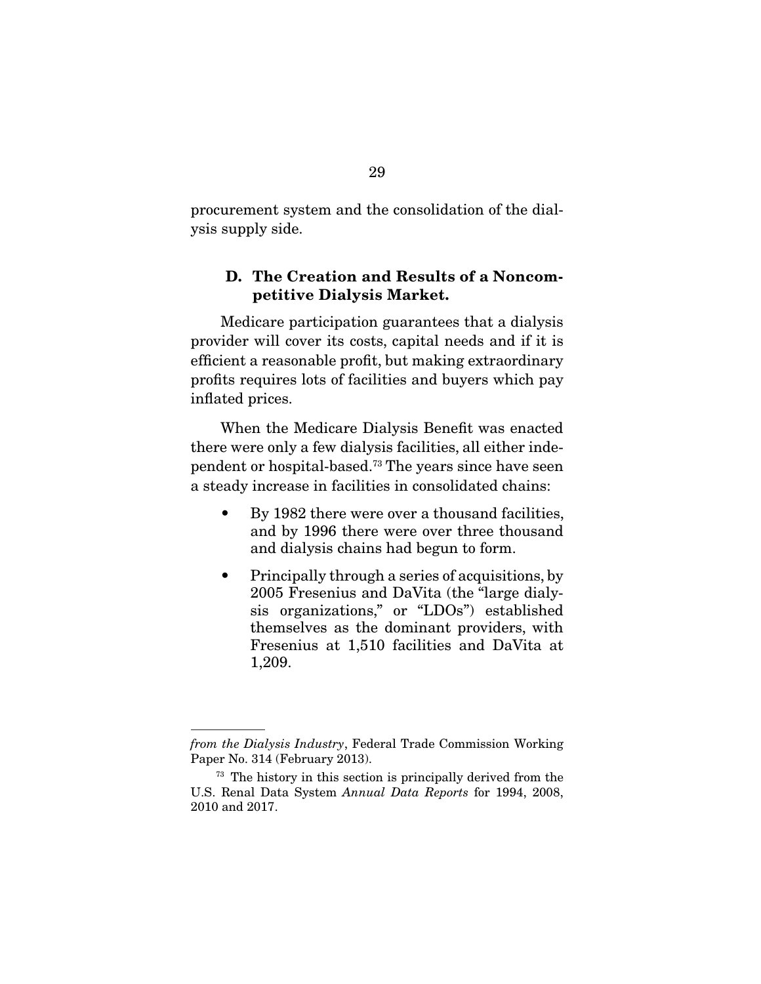procurement system and the consolidation of the dialysis supply side.

### **D. The Creation and Results of a Noncompetitive Dialysis Market.**

 Medicare participation guarantees that a dialysis provider will cover its costs, capital needs and if it is efficient a reasonable profit, but making extraordinary profits requires lots of facilities and buyers which pay inflated prices.

 When the Medicare Dialysis Benefit was enacted there were only a few dialysis facilities, all either independent or hospital-based.73 The years since have seen a steady increase in facilities in consolidated chains:

- By 1982 there were over a thousand facilities, and by 1996 there were over three thousand and dialysis chains had begun to form.
- Principally through a series of acquisitions, by 2005 Fresenius and DaVita (the "large dialysis organizations," or "LDOs") established themselves as the dominant providers, with Fresenius at 1,510 facilities and DaVita at 1,209.

from the Dialysis Industry, Federal Trade Commission Working Paper No. 314 (February 2013).

<sup>&</sup>lt;sup>73</sup> The history in this section is principally derived from the U.S. Renal Data System Annual Data Reports for 1994, 2008, 2010 and 2017.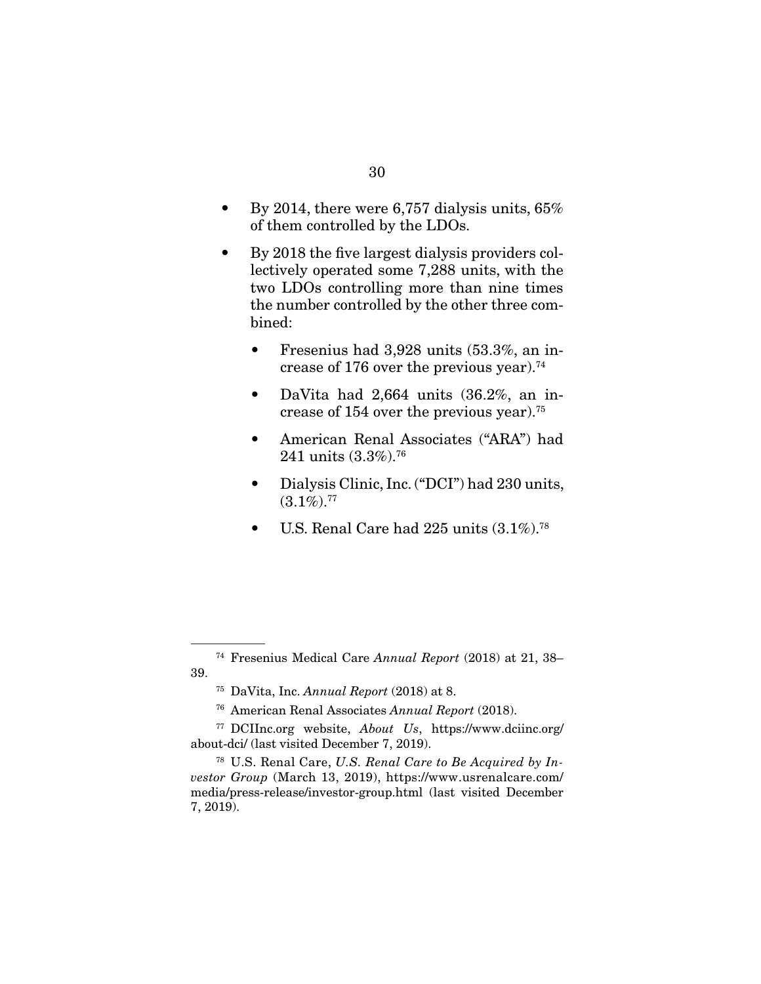- By 2014, there were 6,757 dialysis units, 65% of them controlled by the LDOs.
- By 2018 the five largest dialysis providers collectively operated some 7,288 units, with the two LDOs controlling more than nine times the number controlled by the other three combined:
	- Fresenius had 3,928 units (53.3%, an increase of 176 over the previous year).<sup>74</sup>
	- DaVita had 2,664 units (36.2%, an increase of 154 over the previous year).75
	- American Renal Associates ("ARA") had 241 units (3.3%).<sup>76</sup>
	- Dialysis Clinic, Inc. ("DCI") had 230 units,  $(3.1\%)$ .<sup>77</sup>
	- U.S. Renal Care had 225 units  $(3.1\%)$ .<sup>78</sup>

<sup>74</sup> Fresenius Medical Care Annual Report (2018) at 21, 38– 39.

 $^{75}$  DaVita, Inc. Annual Report (2018) at 8.

<sup>76</sup> American Renal Associates Annual Report (2018).

<sup>77</sup> DCIInc.org website, About Us, https://www.dciinc.org/ about-dci/ (last visited December 7, 2019).

 $78$  U.S. Renal Care, U.S. Renal Care to Be Acquired by Investor Group (March 13, 2019), https://www.usrenalcare.com/ media/press-release/investor-group.html (last visited December 7, 2019).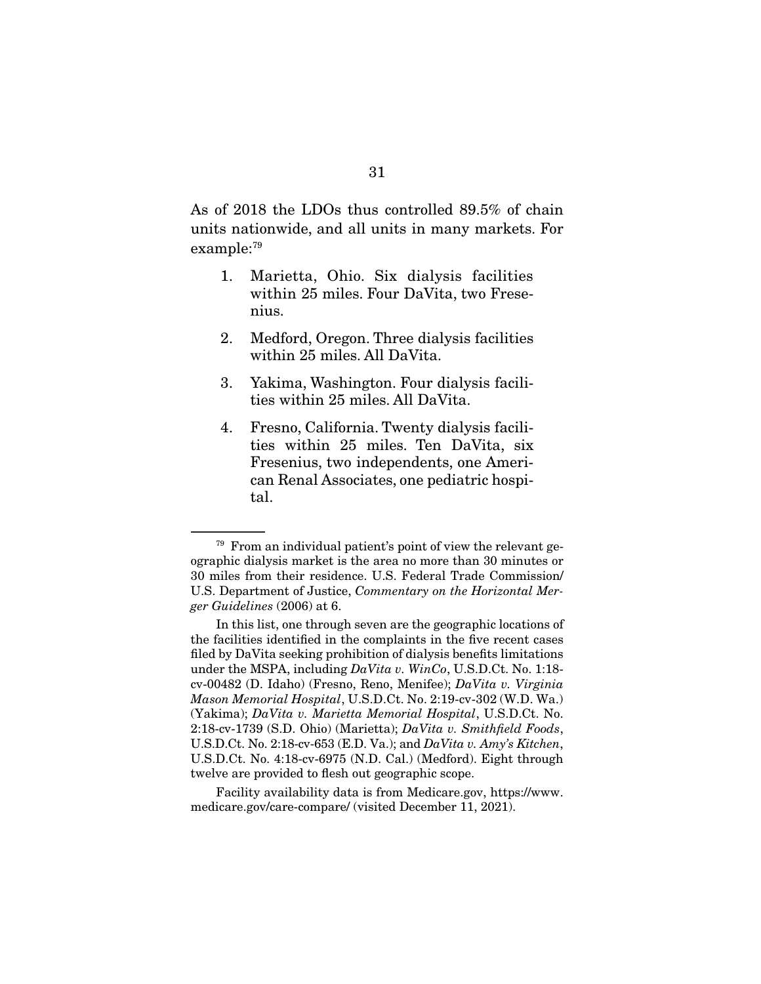As of 2018 the LDOs thus controlled 89.5% of chain units nationwide, and all units in many markets. For example:79

- 1. Marietta, Ohio. Six dialysis facilities within 25 miles. Four DaVita, two Fresenius.
- 2. Medford, Oregon. Three dialysis facilities within 25 miles. All DaVita.
- 3. Yakima, Washington. Four dialysis facilities within 25 miles. All DaVita.
- 4. Fresno, California. Twenty dialysis facilities within 25 miles. Ten DaVita, six Fresenius, two independents, one American Renal Associates, one pediatric hospital.

 Facility availability data is from Medicare.gov, https://www. medicare.gov/care-compare/ (visited December 11, 2021).

<sup>79</sup> From an individual patient's point of view the relevant geographic dialysis market is the area no more than 30 minutes or 30 miles from their residence. U.S. Federal Trade Commission/ U.S. Department of Justice, Commentary on the Horizontal Merger Guidelines (2006) at 6.

In this list, one through seven are the geographic locations of the facilities identified in the complaints in the five recent cases filed by DaVita seeking prohibition of dialysis benefits limitations under the MSPA, including  $DaVita$  v. WinCo, U.S.D.Ct. No. 1:18cv-00482 (D. Idaho) (Fresno, Reno, Menifee); DaVita v. Virginia Mason Memorial Hospital, U.S.D.Ct. No. 2:19-cv-302 (W.D. Wa.) (Yakima); DaVita v. Marietta Memorial Hospital, U.S.D.Ct. No. 2:18-cv-1739 (S.D. Ohio) (Marietta); DaVita v. Smithfield Foods, U.S.D.Ct. No. 2:18-cv-653 (E.D. Va.); and  $DaVita$  v. Amy's Kitchen, U.S.D.Ct. No. 4:18-cv-6975 (N.D. Cal.) (Medford). Eight through twelve are provided to flesh out geographic scope.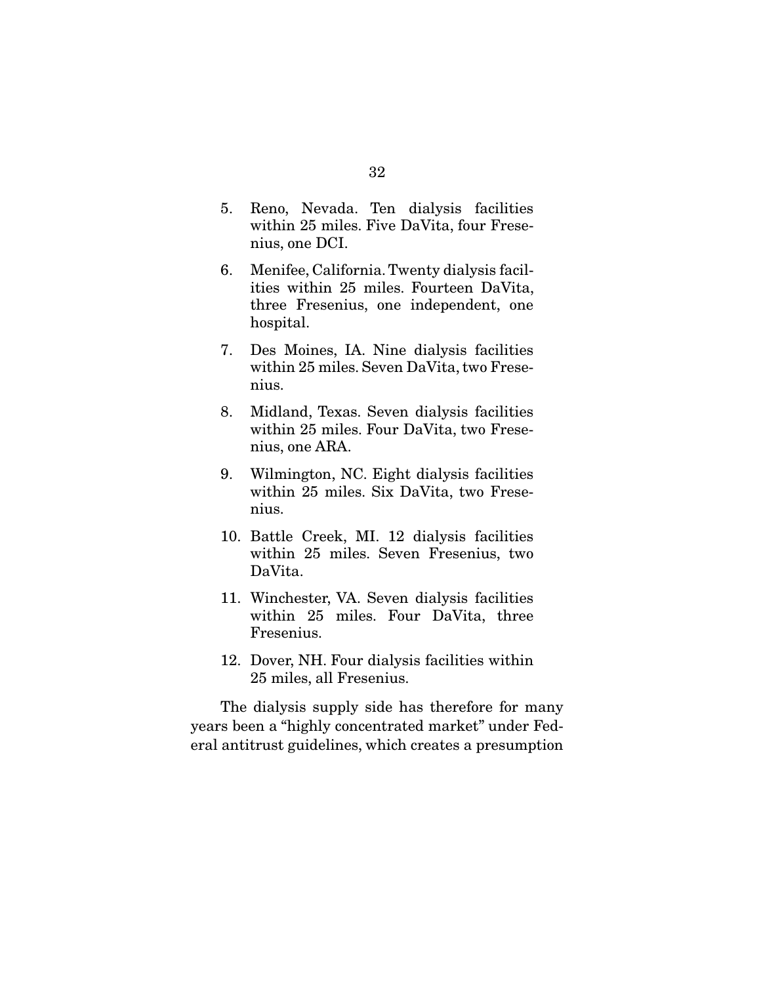- 5. Reno, Nevada. Ten dialysis facilities within 25 miles. Five DaVita, four Fresenius, one DCI.
- 6. Menifee, California. Twenty dialysis facilities within 25 miles. Fourteen DaVita, three Fresenius, one independent, one hospital.
- 7. Des Moines, IA. Nine dialysis facilities within 25 miles. Seven DaVita, two Fresenius.
- 8. Midland, Texas. Seven dialysis facilities within 25 miles. Four DaVita, two Fresenius, one ARA.
- 9. Wilmington, NC. Eight dialysis facilities within 25 miles. Six DaVita, two Fresenius.
- 10. Battle Creek, MI. 12 dialysis facilities within 25 miles. Seven Fresenius, two DaVita.
- 11. Winchester, VA. Seven dialysis facilities within 25 miles. Four DaVita, three Fresenius.
- 12. Dover, NH. Four dialysis facilities within 25 miles, all Fresenius.

 The dialysis supply side has therefore for many years been a "highly concentrated market" under Federal antitrust guidelines, which creates a presumption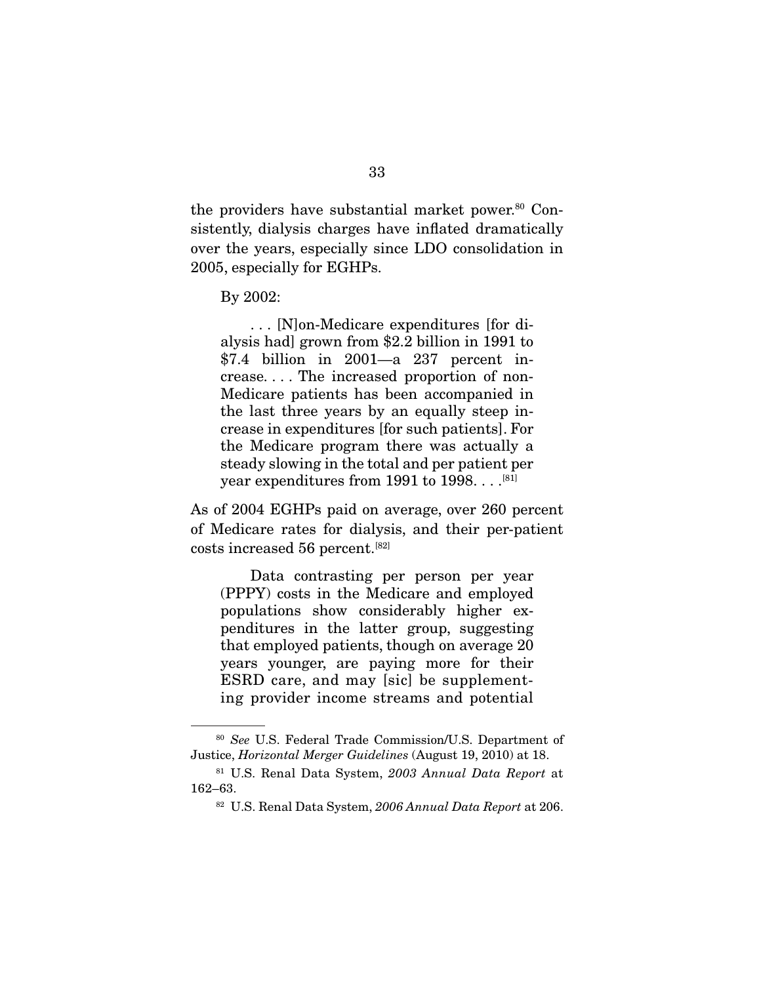the providers have substantial market power.<sup>80</sup> Consistently, dialysis charges have inflated dramatically over the years, especially since LDO consolidation in 2005, especially for EGHPs.

By 2002:

 . . . [N]on-Medicare expenditures [for dialysis had] grown from \$2.2 billion in 1991 to \$7.4 billion in 2001—a 237 percent increase. . . . The increased proportion of non-Medicare patients has been accompanied in the last three years by an equally steep increase in expenditures [for such patients]. For the Medicare program there was actually a steady slowing in the total and per patient per year expenditures from 1991 to 1998. . . . [81]

As of 2004 EGHPs paid on average, over 260 percent of Medicare rates for dialysis, and their per-patient costs increased 56 percent.[82]

 Data contrasting per person per year (PPPY) costs in the Medicare and employed populations show considerably higher expenditures in the latter group, suggesting that employed patients, though on average 20 years younger, are paying more for their ESRD care, and may [sic] be supplementing provider income streams and potential

<sup>80</sup> See U.S. Federal Trade Commission/U.S. Department of Justice, Horizontal Merger Guidelines (August 19, 2010) at 18.

<sup>81</sup> U.S. Renal Data System, 2003 Annual Data Report at 162–63.

<sup>&</sup>lt;sup>82</sup> U.S. Renal Data System, 2006 Annual Data Report at 206.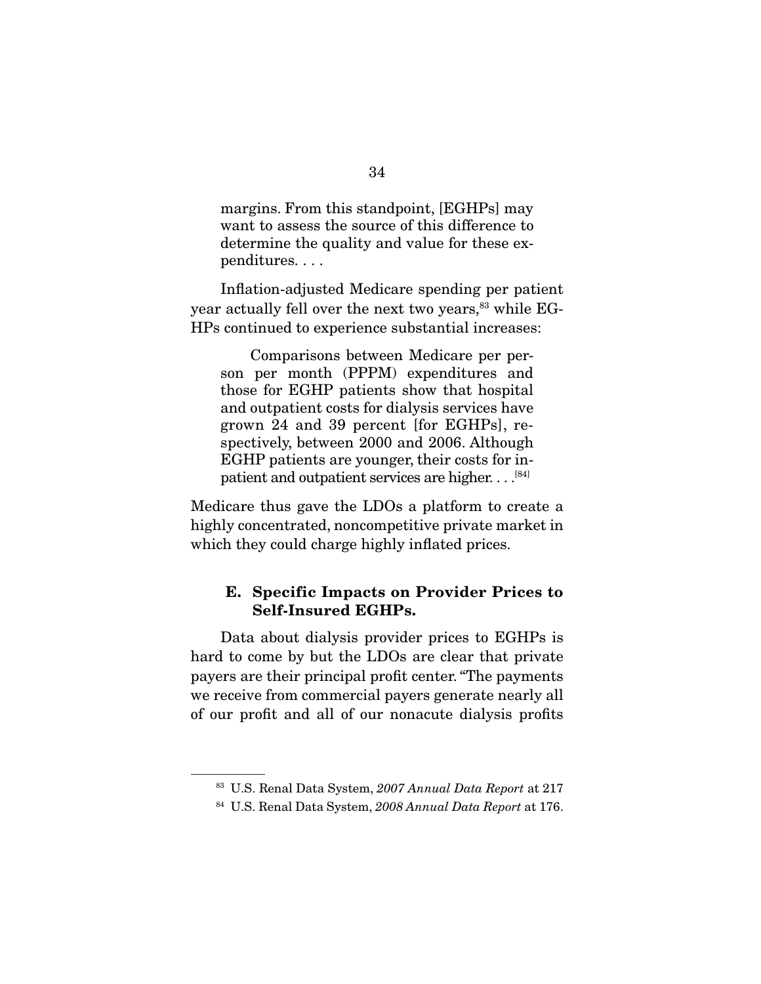margins. From this standpoint, [EGHPs] may want to assess the source of this difference to determine the quality and value for these expenditures. . . .

 Inflation-adjusted Medicare spending per patient year actually fell over the next two years,<sup>83</sup> while EG-HPs continued to experience substantial increases:

 Comparisons between Medicare per person per month (PPPM) expenditures and those for EGHP patients show that hospital and outpatient costs for dialysis services have grown 24 and 39 percent [for EGHPs], respectively, between 2000 and 2006. Although EGHP patients are younger, their costs for inpatient and outpatient services are higher.  $\dots^{[84]}$ 

Medicare thus gave the LDOs a platform to create a highly concentrated, noncompetitive private market in which they could charge highly inflated prices.

### **E. Specific Impacts on Provider Prices to Self-Insured EGHPs.**

 Data about dialysis provider prices to EGHPs is hard to come by but the LDOs are clear that private payers are their principal profit center. "The payments we receive from commercial payers generate nearly all of our profit and all of our nonacute dialysis profits

<sup>&</sup>lt;sup>83</sup> U.S. Renal Data System, 2007 Annual Data Report at 217

<sup>&</sup>lt;sup>84</sup> U.S. Renal Data System, 2008 Annual Data Report at 176.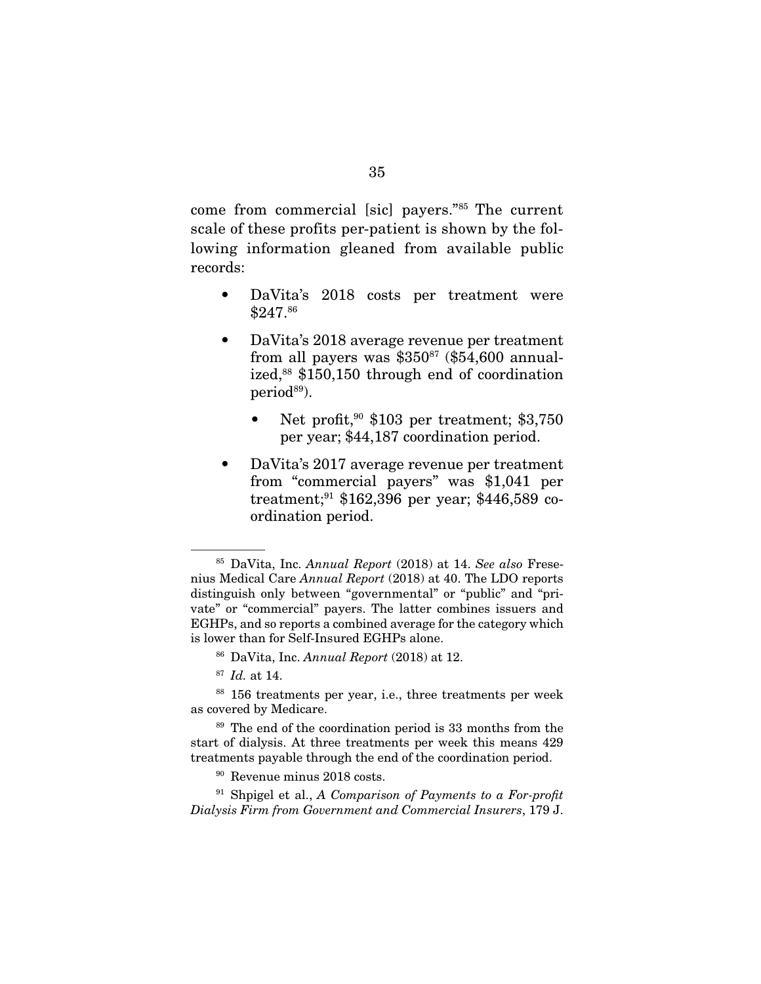come from commercial [sic] payers."85 The current scale of these profits per-patient is shown by the following information gleaned from available public records:

- DaVita's 2018 costs per treatment were \$247.86
- DaVita's 2018 average revenue per treatment from all payers was  $$350<sup>87</sup>$  (\$54,600 annualized,<sup>88</sup> \$150,150 through end of coordination period<sup>89</sup>).
	- Net profit, $90$  \$103 per treatment; \$3,750 per year; \$44,187 coordination period.
- DaVita's 2017 average revenue per treatment from "commercial payers" was \$1,041 per treatment;<sup>91</sup> \$162,396 per year; \$446,589 coordination period.

<sup>85</sup> DaVita, Inc. Annual Report (2018) at 14. See also Fresenius Medical Care Annual Report (2018) at 40. The LDO reports distinguish only between "governmental" or "public" and "private" or "commercial" payers. The latter combines issuers and EGHPs, and so reports a combined average for the category which is lower than for Self-Insured EGHPs alone.

<sup>86</sup> DaVita, Inc. Annual Report (2018) at 12.

 $87$  *Id.* at 14.

<sup>88</sup> 156 treatments per year, i.e., three treatments per week as covered by Medicare.

<sup>89</sup> The end of the coordination period is 33 months from the start of dialysis. At three treatments per week this means 429 treatments payable through the end of the coordination period.

<sup>90</sup> Revenue minus 2018 costs.

 $91$  Shpigel et al., A Comparison of Payments to a For-profit Dialysis Firm from Government and Commercial Insurers, 179 J.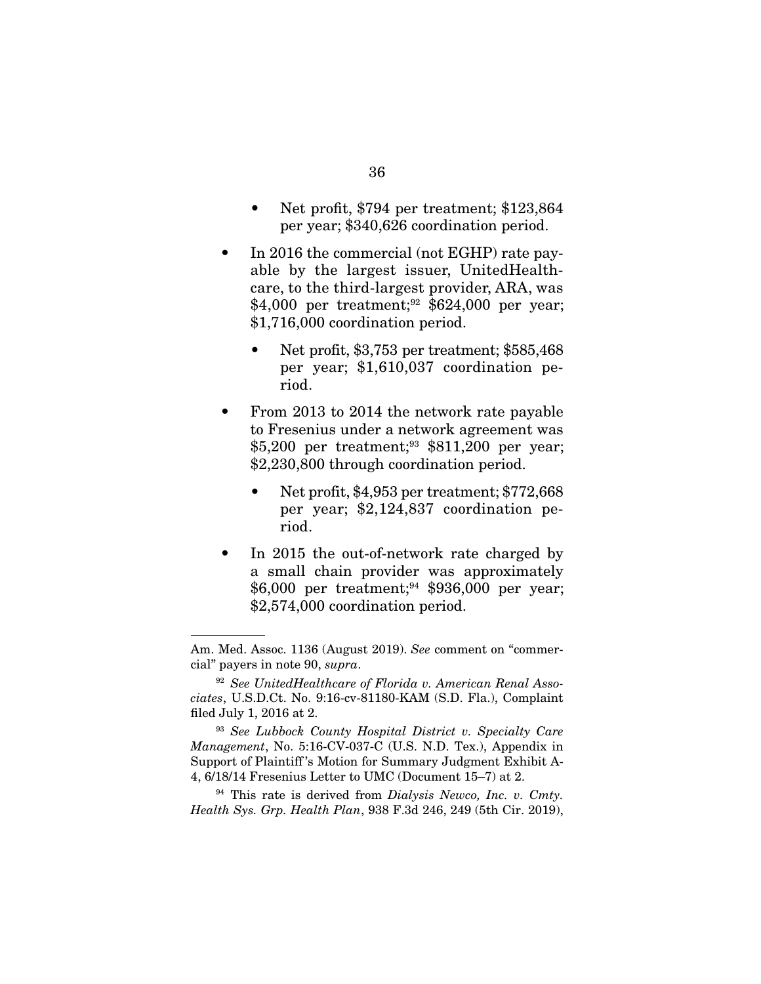- Net profit, \$794 per treatment; \$123,864 per year; \$340,626 coordination period.
- In 2016 the commercial (not EGHP) rate payable by the largest issuer, UnitedHealthcare, to the third-largest provider, ARA, was \$4,000 per treatment;<sup>92</sup> \$624,000 per year; \$1,716,000 coordination period.
	- Net profit, \$3,753 per treatment; \$585,468 per year; \$1,610,037 coordination period.
- From 2013 to 2014 the network rate payable to Fresenius under a network agreement was \$5,200 per treatment;<sup>93</sup> \$811,200 per year; \$2,230,800 through coordination period.
	- Net profit, \$4,953 per treatment; \$772,668 per year; \$2,124,837 coordination period.
- In 2015 the out-of-network rate charged by a small chain provider was approximately \$6,000 per treatment;<sup>94</sup> \$936,000 per year; \$2,574,000 coordination period.

Am. Med. Assoc. 1136 (August 2019). See comment on "commercial" payers in note 90, supra.

<sup>&</sup>lt;sup>92</sup> See UnitedHealthcare of Florida v. American Renal Associates, U.S.D.Ct. No. 9:16-cv-81180-KAM (S.D. Fla.), Complaint filed July 1, 2016 at 2.

<sup>93</sup> See Lubbock County Hospital District v. Specialty Care Management, No. 5:16-CV-037-C (U.S. N.D. Tex.), Appendix in Support of Plaintiff 's Motion for Summary Judgment Exhibit A-4, 6/18/14 Fresenius Letter to UMC (Document 15–7) at 2.

 $94$  This rate is derived from *Dialysis Newco*, *Inc. v. Cmty.* Health Sys. Grp. Health Plan, 938 F.3d 246, 249 (5th Cir. 2019),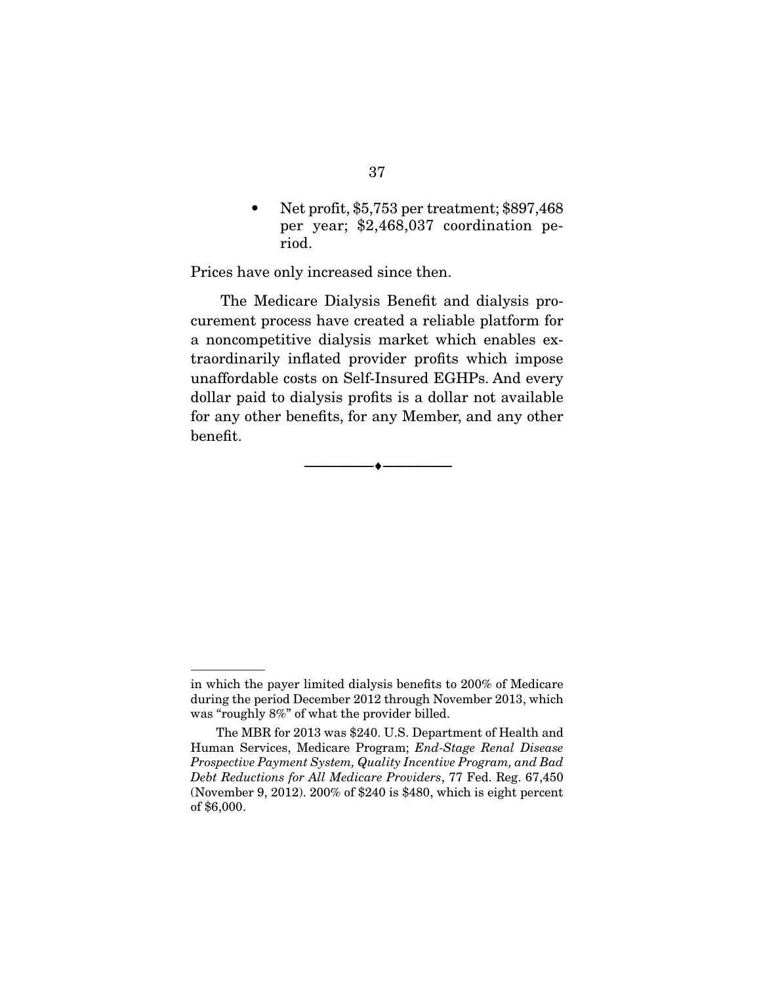• Net profit, \$5,753 per treatment; \$897,468 per year; \$2,468,037 coordination period.

Prices have only increased since then.

 The Medicare Dialysis Benefit and dialysis procurement process have created a reliable platform for a noncompetitive dialysis market which enables extraordinarily inflated provider profits which impose unaffordable costs on Self-Insured EGHPs. And every dollar paid to dialysis profits is a dollar not available for any other benefits, for any Member, and any other benefit.

 $\overbrace{\hspace{2.5cm}}^{\bullet}$   $\overbrace{\hspace{2.5cm}}^{\bullet}$ 

in which the payer limited dialysis benefits to 200% of Medicare during the period December 2012 through November 2013, which was "roughly 8%" of what the provider billed.

The MBR for 2013 was \$240. U.S. Department of Health and Human Services, Medicare Program; End-Stage Renal Disease Prospective Payment System, Quality Incentive Program, and Bad Debt Reductions for All Medicare Providers, 77 Fed. Reg. 67,450 (November 9, 2012). 200% of \$240 is \$480, which is eight percent of \$6,000.